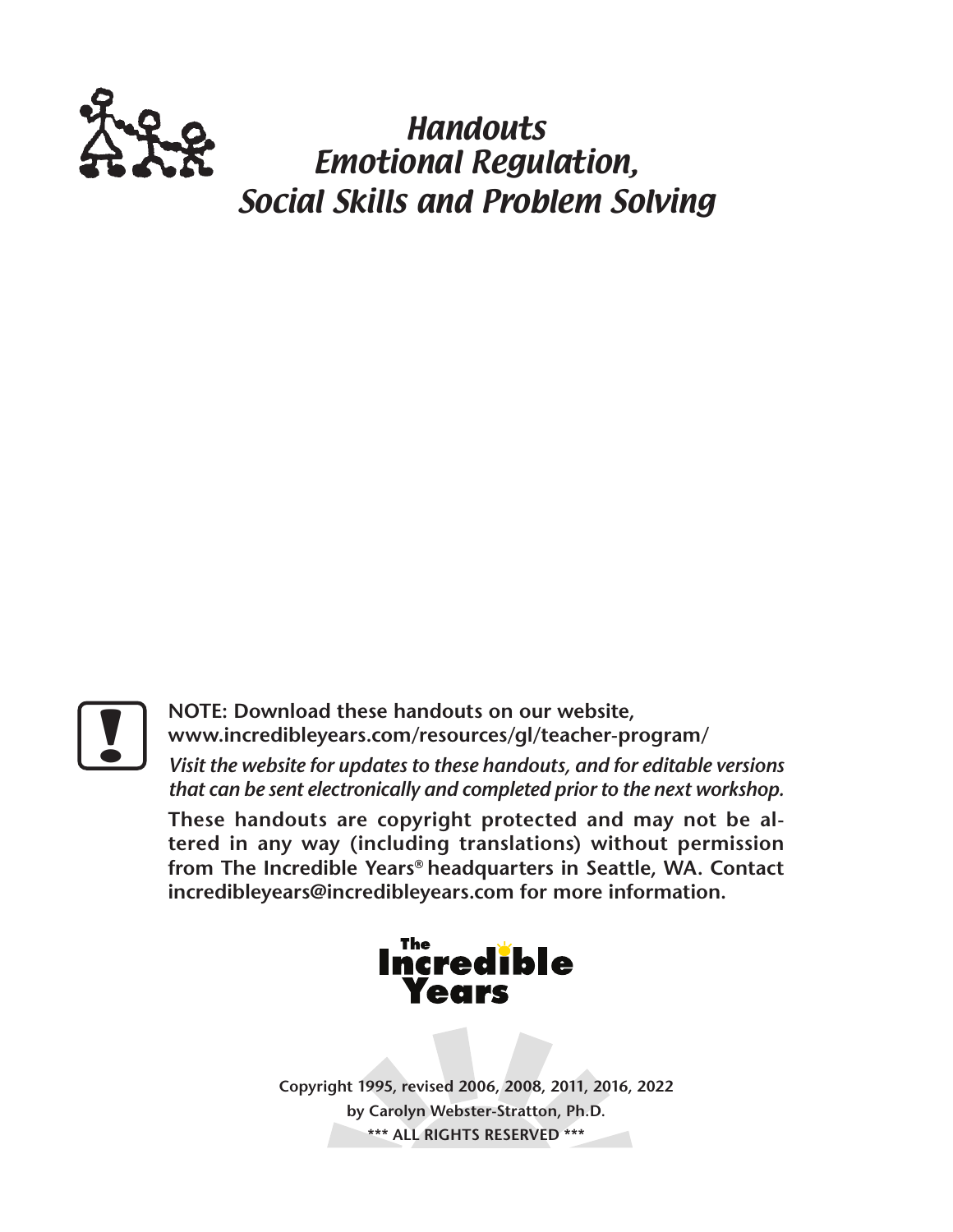

**Handouts** Emotional Regulation, Social Skills and Problem Solving

**Postally and STE: Download these handouts on our website,<br>
<b>Postally and STE: Download these handouts / providence**<br> *Nisit the website for updates to these handouts, and for that can be sent electronically and completed* **www.incredibleyears.com/resources/gl/teacher-program/** 

*Visit the website for updates to these handouts, and for editable versions that can be sent electronically and completed prior to the next workshop.*

**These handouts are copyright protected and may not be altered in any way (including translations) without permission from The Incredible Years® headquarters in Seattle, WA. Contact incredibleyears@incredibleyears.com for more information.**



**Copyright 1995, revised 2006, 2008, 2011, 2016, 2022 by Carolyn Webster-Stratton, Ph.D. \*\*\* ALL RIGHTS RESERVED \*\*\***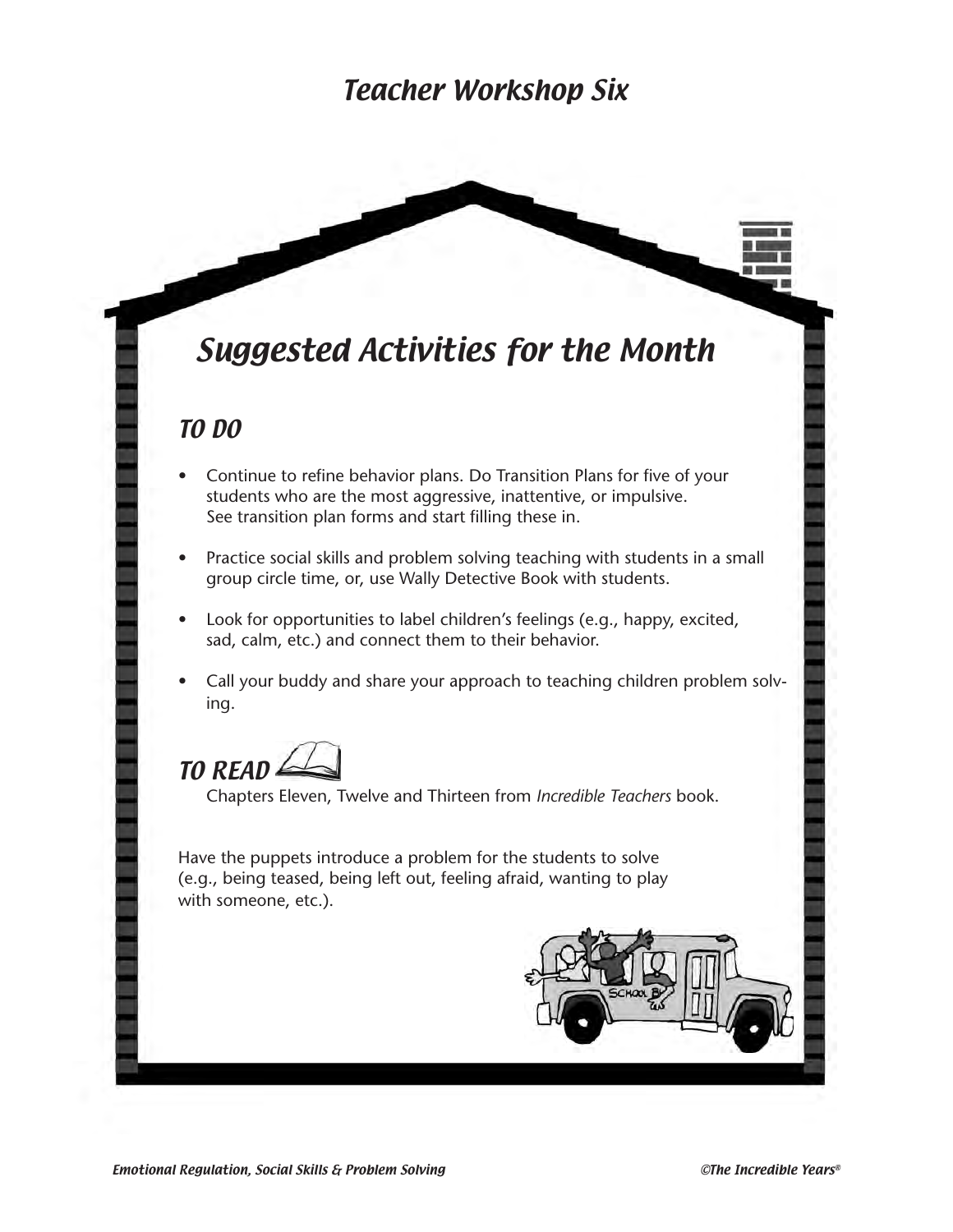#### Teacher Workshop Six

#### Suggested Activities for the Month

#### TO DO

- Continue to refine behavior plans. Do Transition Plans for five of your students who are the most aggressive, inattentive, or impulsive. See transition plan forms and start filling these in.
- Practice social skills and problem solving teaching with students in a small group circle time, or, use Wally Detective Book with students.
- Look for opportunities to label children's feelings (e.g., happy, excited, sad, calm, etc.) and connect them to their behavior.
- Call your buddy and share your approach to teaching children problem solving.

TO READ

Chapters Eleven, Twelve and Thirteen from *Incredible Teachers* book.

Have the puppets introduce a problem for the students to solve (e.g., being teased, being left out, feeling afraid, wanting to play with someone, etc.).

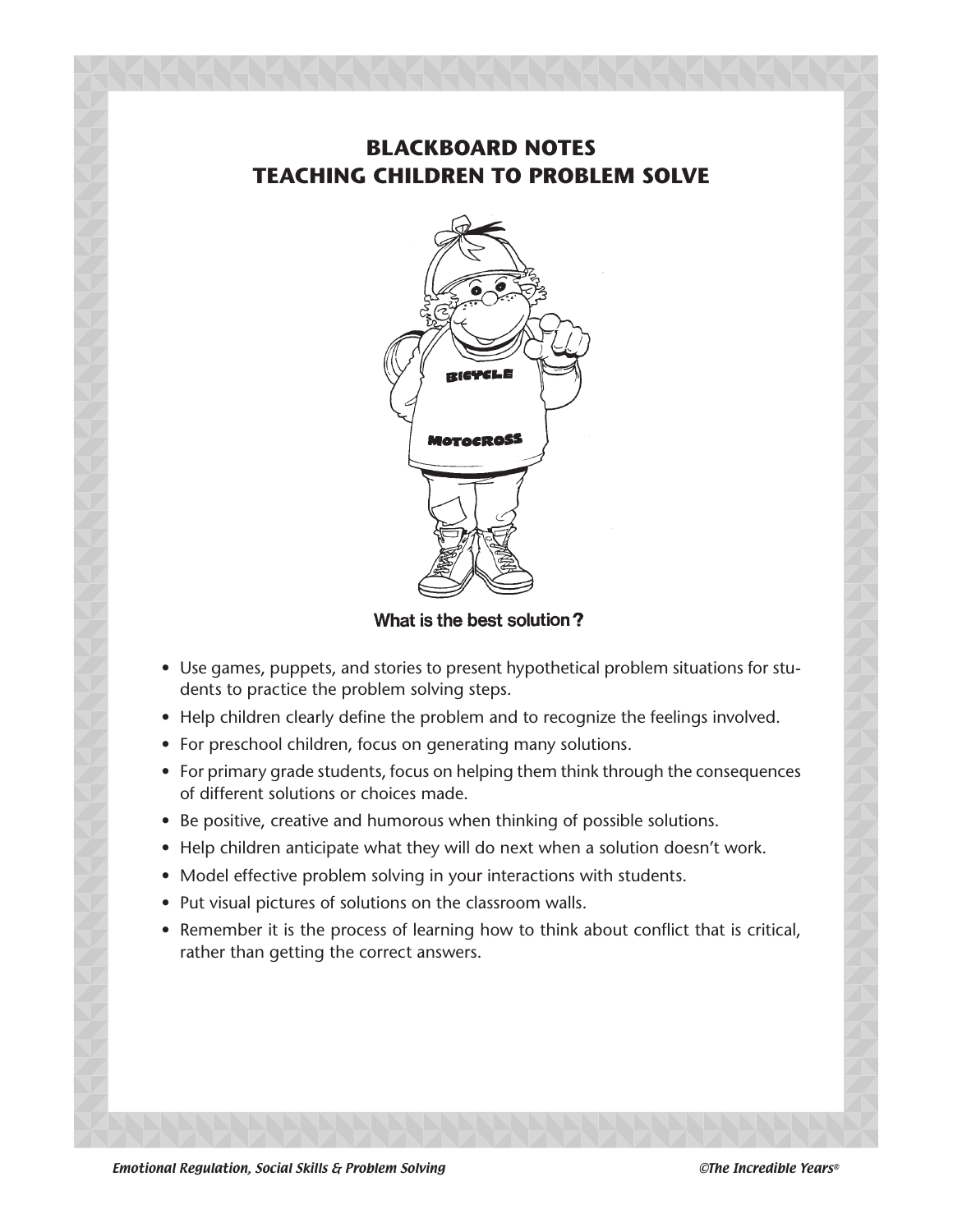#### **BLACKBOARD NOTES TEACHING CHILDREN TO PROBLEM SOLVE**



What is the best solution?

- Use games, puppets, and stories to present hypothetical problem situations for students to practice the problem solving steps.
- Help children clearly define the problem and to recognize the feelings involved.
- For preschool children, focus on generating many solutions.
- For primary grade students, focus on helping them think through the consequences of different solutions or choices made.
- Be positive, creative and humorous when thinking of possible solutions.
- Help children anticipate what they will do next when a solution doesn't work.
- Model effective problem solving in your interactions with students.
- Put visual pictures of solutions on the classroom walls.
- Remember it is the process of learning how to think about conflict that is critical, rather than getting the correct answers.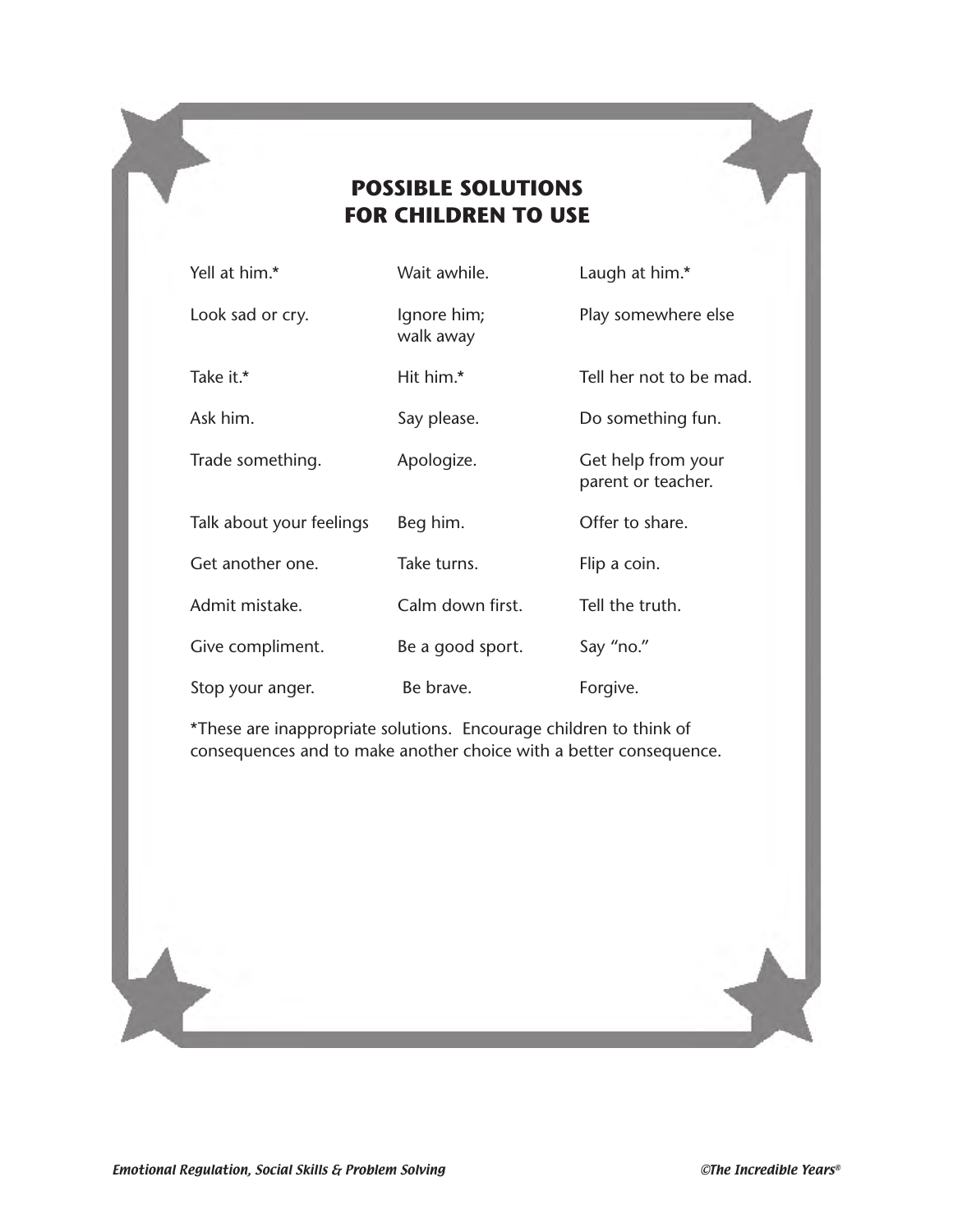#### **POSSIBLE SOLUTIONS FOR CHILDREN TO USE**

| Yell at him.*            | Wait awhile.             | Laugh at him.*                           |
|--------------------------|--------------------------|------------------------------------------|
| Look sad or cry.         | Ignore him;<br>walk away | Play somewhere else                      |
| Take it.*                | Hit him.*                | Tell her not to be ma                    |
| Ask him.                 | Say please.              | Do something fun.                        |
| Trade something.         | Apologize.               | Get help from your<br>parent or teacher. |
| Talk about your feelings | Beg him.                 | Offer to share.                          |
| Get another one.         | Take turns.              | Flip a coin.                             |
| Admit mistake.           | Calm down first.         | Tell the truth.                          |
| Give compliment.         | Be a good sport.         | Say "no."                                |
| Stop your anger.         | Be brave.                | Forgive.                                 |

\*These are inappropriate solutions. Encourage children to think of consequences and to make another choice with a better consequence.

to be mad.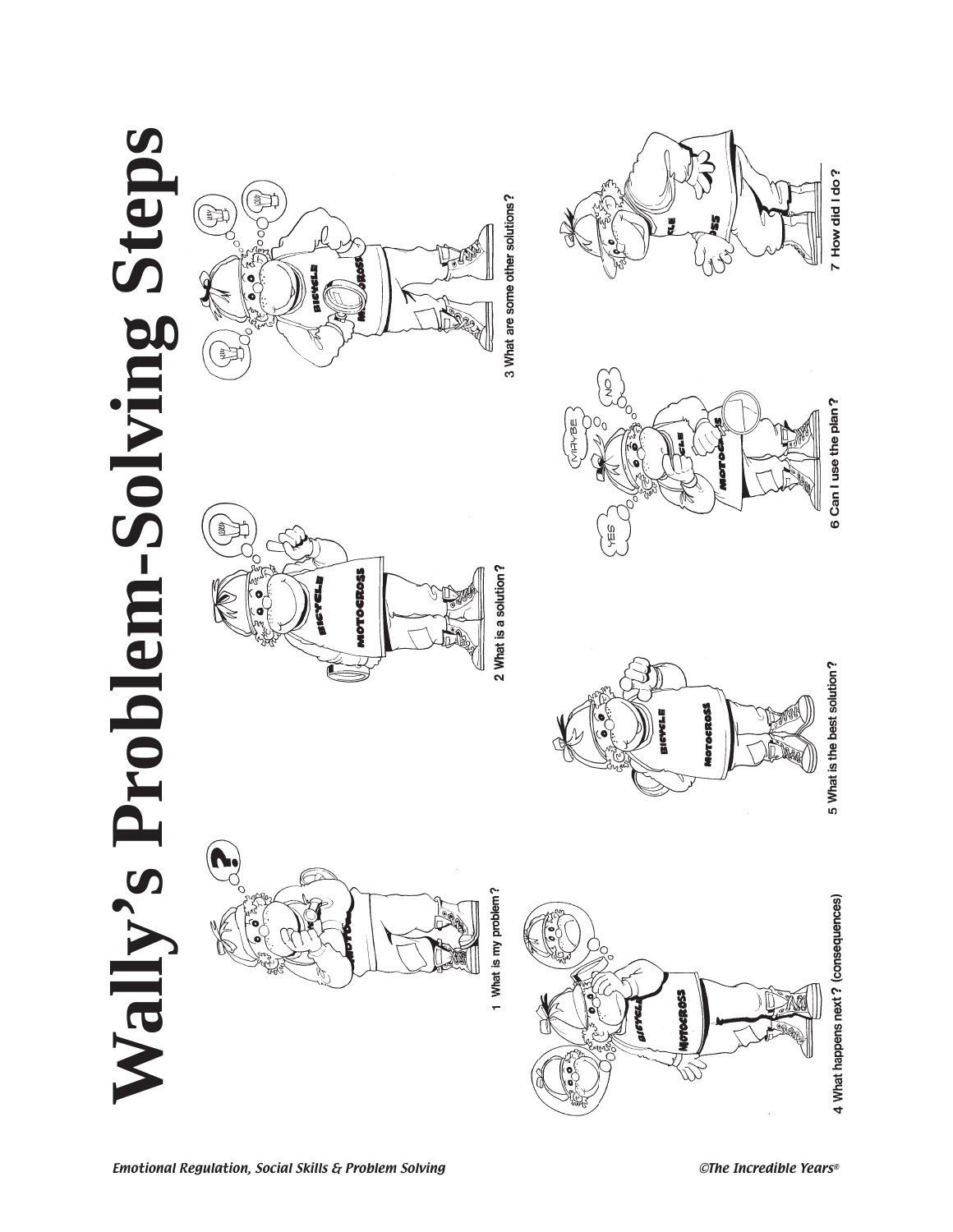











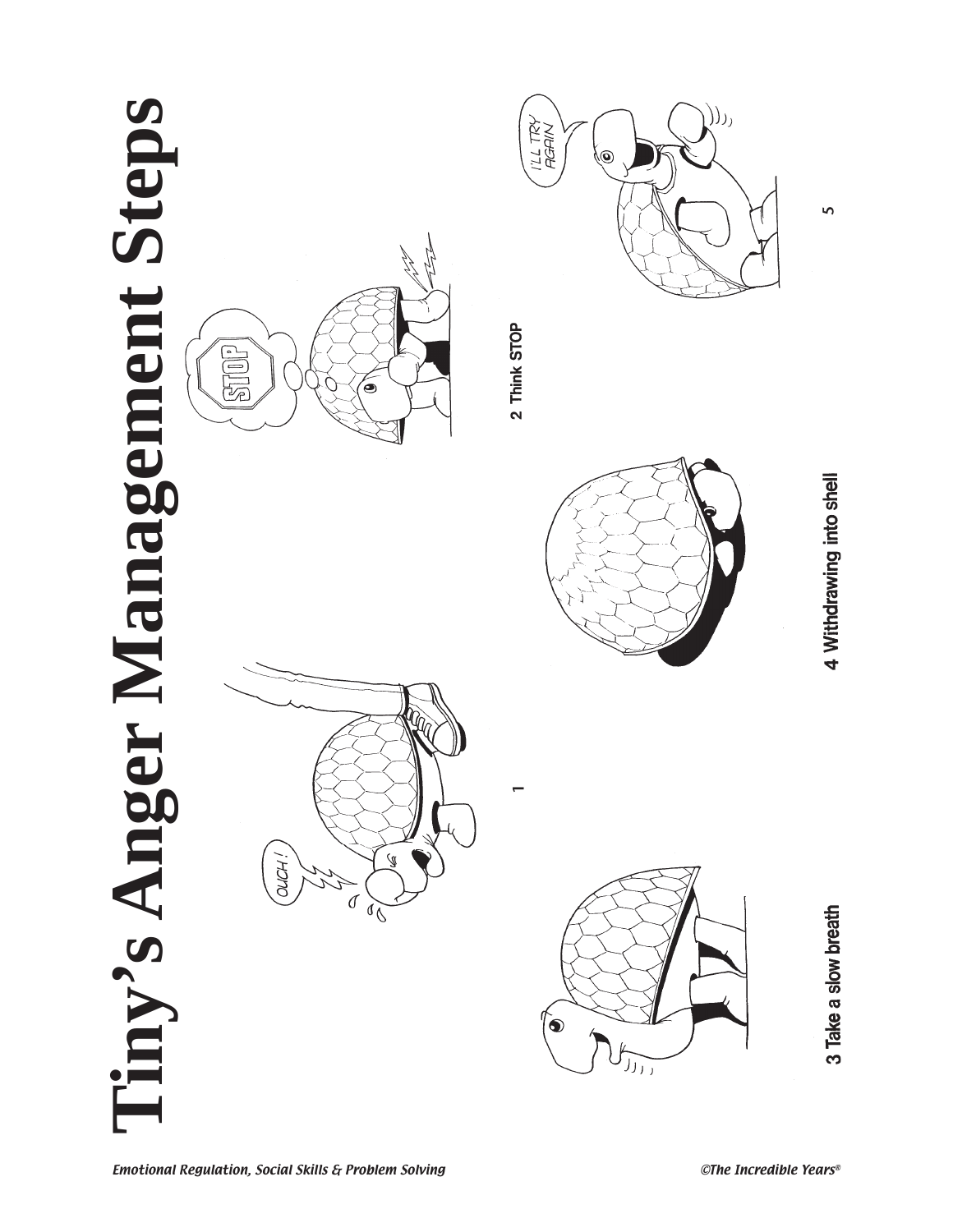# iny's Anger Management Steps **Tiny's Anger Management Steps**



2 Think STOP

**1**



OUCH! (၈  $\overline{d}$  $\sqrt{6}$ 

 $\bullet$ ر ر ر ل 4 Withdrawing into shell

**5**

3 Take a slow breath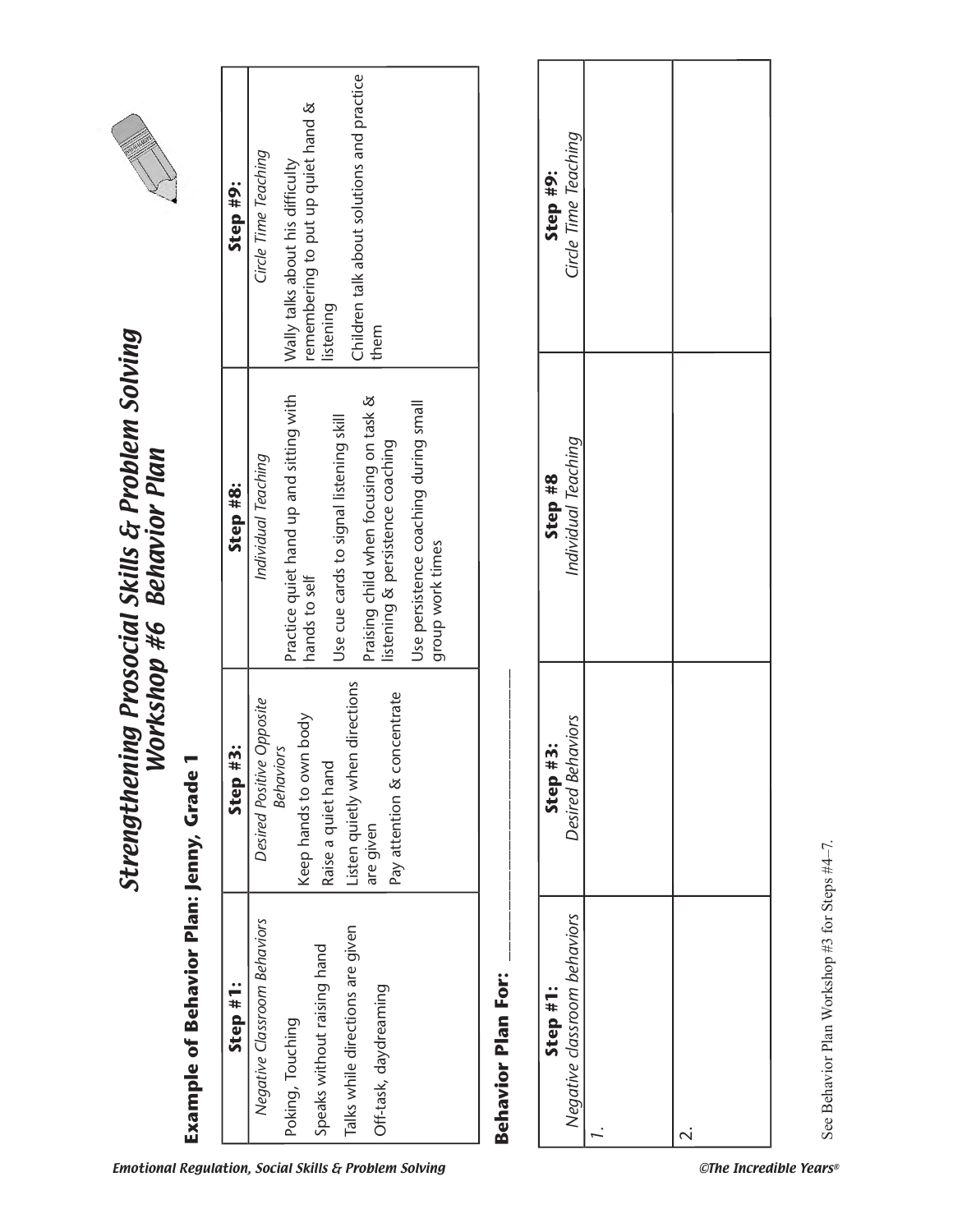

### Strengthening Prosocial Skills & Problem Solving<br>Workshop #6 Behavior Plan Strengthening Prosocial Skills & Problem Solving Workshop #6 Behavior Plan

## Example of Behavior Plan: Jenny, Grade 1 **Example of Behavior Plan: Jenny, Grade 1**

| Step #1:                                                                                                     | Step #3:                                                                                                                                      | Step #8:                                                                                                                                                                                                                                       | Step #9:                                                                                                                                  |
|--------------------------------------------------------------------------------------------------------------|-----------------------------------------------------------------------------------------------------------------------------------------------|------------------------------------------------------------------------------------------------------------------------------------------------------------------------------------------------------------------------------------------------|-------------------------------------------------------------------------------------------------------------------------------------------|
| Negative Classroom Behaviors                                                                                 | Desired Positive Opposite                                                                                                                     | Individual Teaching                                                                                                                                                                                                                            | Circle Time Teaching                                                                                                                      |
| Talks while directions are given<br>Speaks without raising hand<br>Off-task, daydreaming<br>Poking, Touching | directions<br>Pay attention & concentrate<br>body<br>Behaviors<br>Listen quietly when<br>Keep hands to own<br>Raise a quiet hand<br>are given | Practice quiet hand up and sitting with<br>Praising child when focusing on task &<br>Use persistence coaching during small<br>Use cue cards to signal listening skill<br>listening & persistence coaching<br>group work times<br>hands to self | Children talk about solutions and practice<br>remembering to put up quiet hand &<br>Wally talks about his difficulty<br>listening<br>them |
|                                                                                                              |                                                                                                                                               |                                                                                                                                                                                                                                                |                                                                                                                                           |

# **Behavior Plan For: \_\_\_\_\_\_\_\_\_\_\_\_\_\_\_\_\_\_\_\_\_\_\_\_\_\_\_\_\_ Behavior Plan For:**

| Step #9:<br>Circle Time Teaching                |  |
|-------------------------------------------------|--|
| Step #8<br>Individual Teaching                  |  |
| Step #3:<br>Desired Behaviors                   |  |
| <b>Step #1:</b><br>Negative classroom behaviors |  |

See Behavior Plan Workshop #3 for Steps #4-7. See Behavior Plan Workshop #3 for Steps #4-7.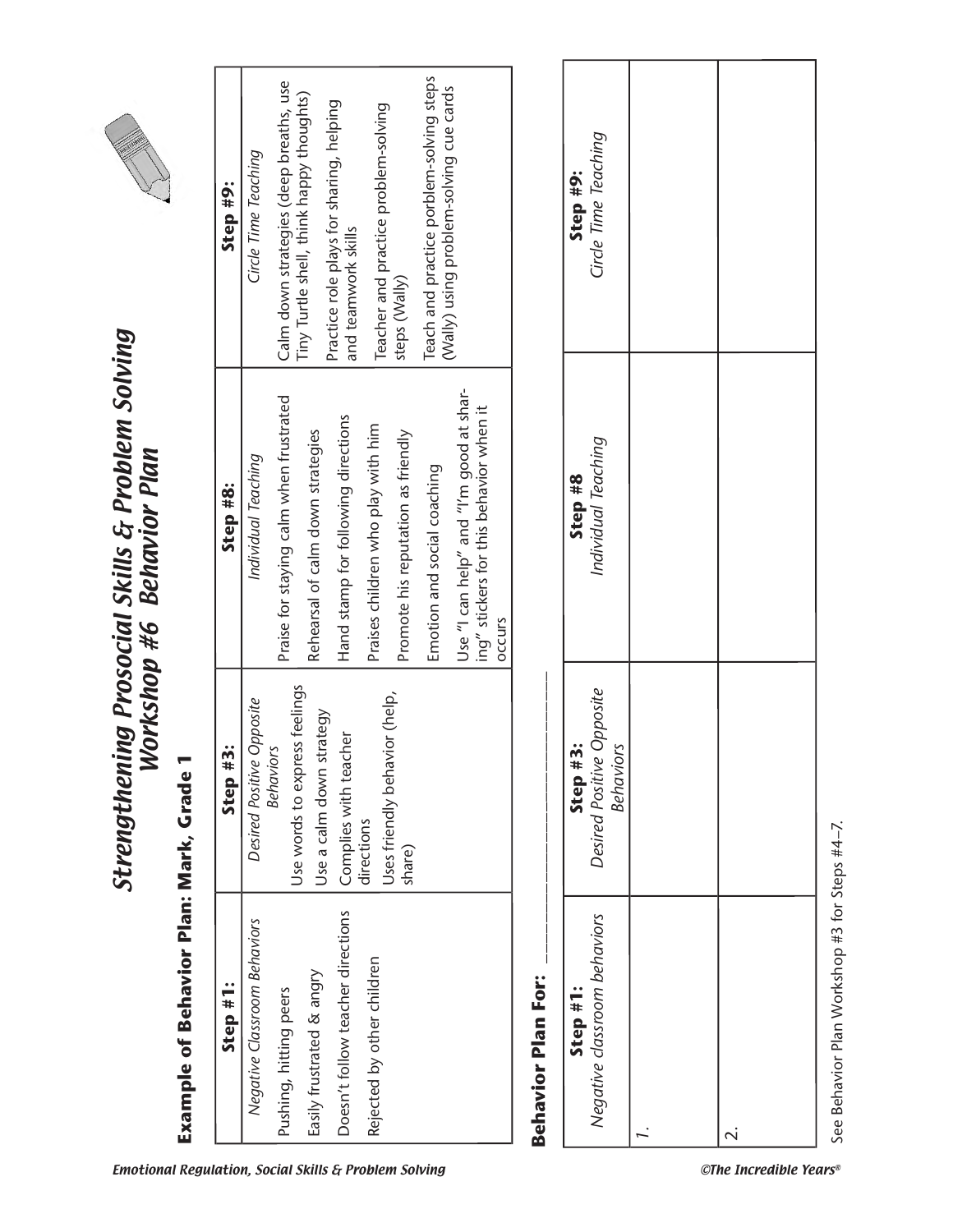| Strengthening Prosocial Skills & Problem Solving<br>Workshop #6 Behavior Plan |  |
|-------------------------------------------------------------------------------|--|
|                                                                               |  |
|                                                                               |  |



# Example of Behavior Plan: Mark, Grade 1 **Example of Behavior Plan: Mark, Grade 1**

| Step #9: | Circle Time Teaching         | Calm down strategies (deep breaths, use           | Tiny Turtle shell, think happy thoughts) | Practice role plays for sharing, helping<br>and teamwork skills | Teacher and practice problem-solving        | steps (Wally)                      | Teach and practice porblem-solving steps | (Wally) using problem-solving cue cards                                            |        |
|----------|------------------------------|---------------------------------------------------|------------------------------------------|-----------------------------------------------------------------|---------------------------------------------|------------------------------------|------------------------------------------|------------------------------------------------------------------------------------|--------|
| Step #8: | Individual Teaching          | Praise for staying calm when frustrated           | Rehearsal of calm down strategies        | Hand stamp for following directions                             | Praises children who play with him          | Promote his reputation as friendly | Emotion and social coaching              | Use "I can help" and "I'm good at shar-<br>ing" stickers for this behavior when it | occurs |
| Step #3: | Desired Positive Opposite    | Use words to express feelings<br><b>Behaviors</b> | Use a calm down strategy                 | Complies with teacher                                           | Uses friendly behavior (help,<br>directions | share)                             |                                          |                                                                                    |        |
| Step #1: | Negative Classroom Behaviors | Pushing, hitting peers                            | Easily frustrated & angry                | Doesn't follow teacher directions                               | Rejected by other children                  |                                    |                                          |                                                                                    |        |

# **Behavior Plan For: \_\_\_\_\_\_\_\_\_\_\_\_\_\_\_\_\_\_\_\_\_\_\_\_\_\_\_\_\_ Behavior Plan For:**

| Step #9:<br>Circle Time Teaching                          |   |
|-----------------------------------------------------------|---|
| Step #8<br>Individual Teaching                            |   |
| <b>Step #3:</b><br>Desired Positive Opposite<br>Behaviors |   |
| Step #1:<br>Negative classroom behaviors                  | j |

See Behavior Plan Workshop #3 for Steps #4-7. ® See Behavior Plan Workshop #3 for Steps #4–7.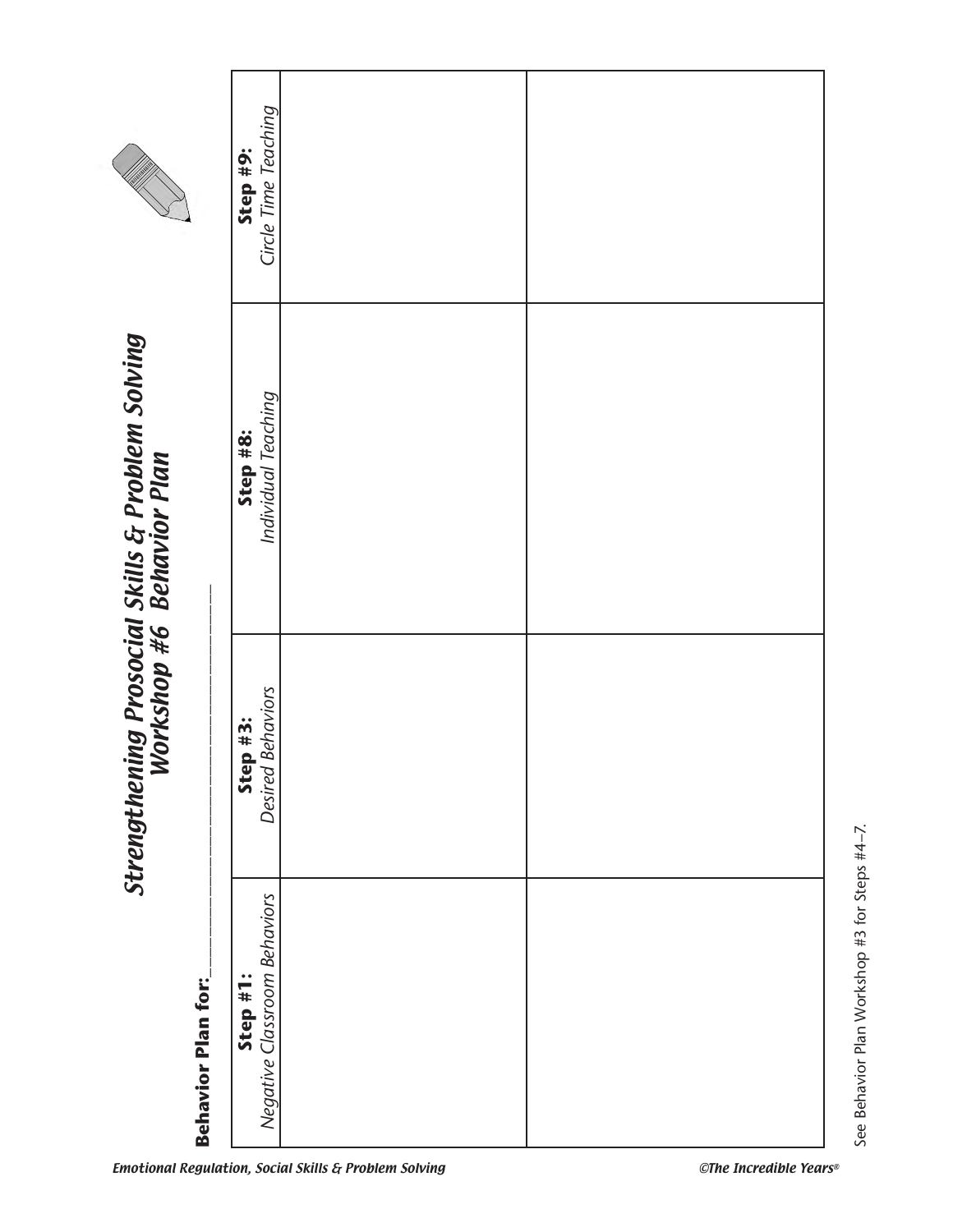|                                                                                | Circle Time Teaching<br>Step #9:                      |  |
|--------------------------------------------------------------------------------|-------------------------------------------------------|--|
| Strengthening Prosocial Skills & Problem Solving<br>Workshop #6  Behavior Plan | Step #8:<br>Individual Teaching                       |  |
|                                                                                | <b>Behaviors</b><br><b>Step #3:</b><br>Desired Behavi |  |
| <b>Behavior Plan for:</b>                                                      | Step #1:<br>Negative Classroom Behaviors              |  |

See Behavior Plan Workshop #3 for Steps #4-7. See Behavior Plan Workshop #3 for Steps #4–7.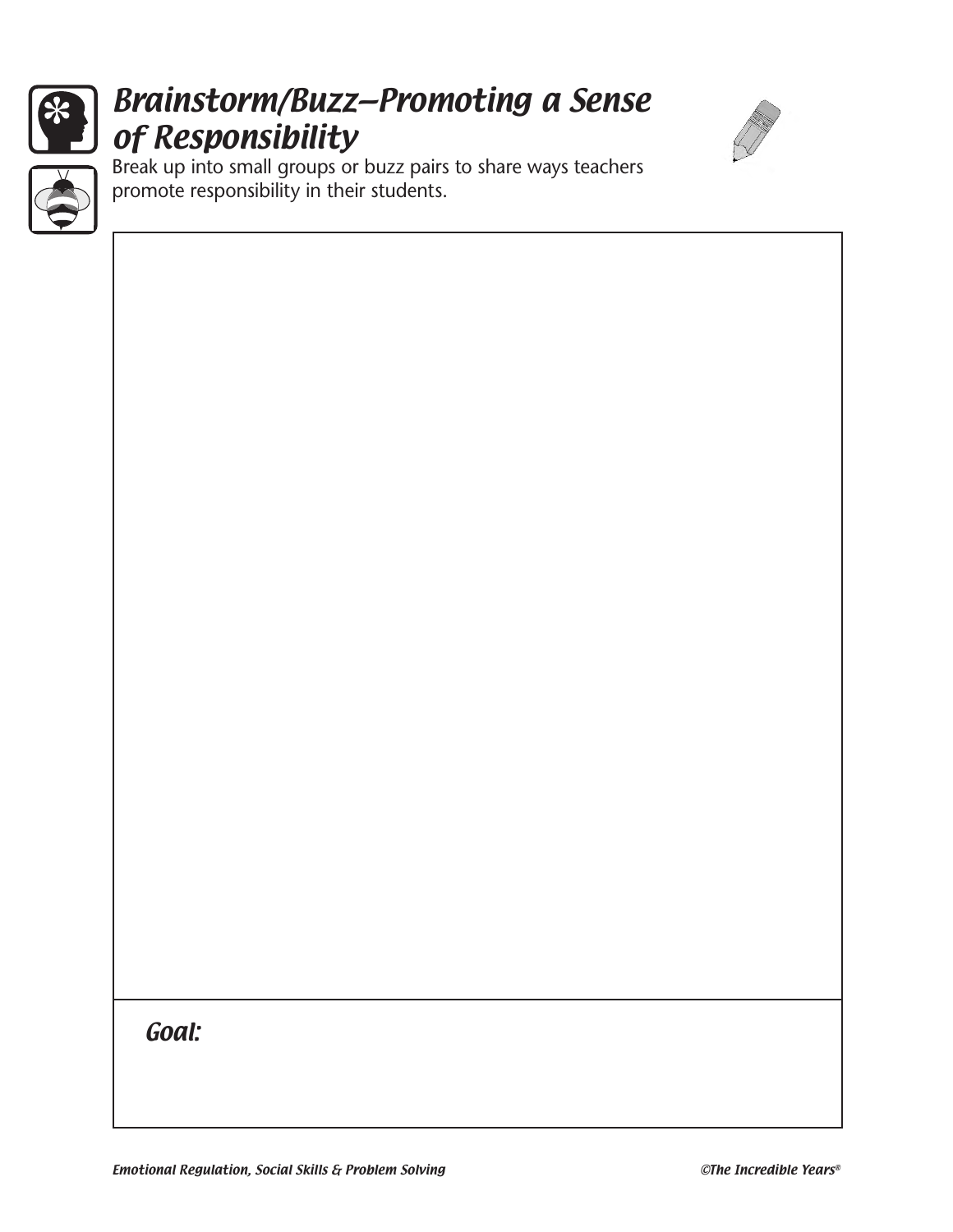

### Brainstorm/Buzz—Promoting a Sense of Responsibility



Break up into small groups or buzz pairs to share ways teachers promote responsibility in their students.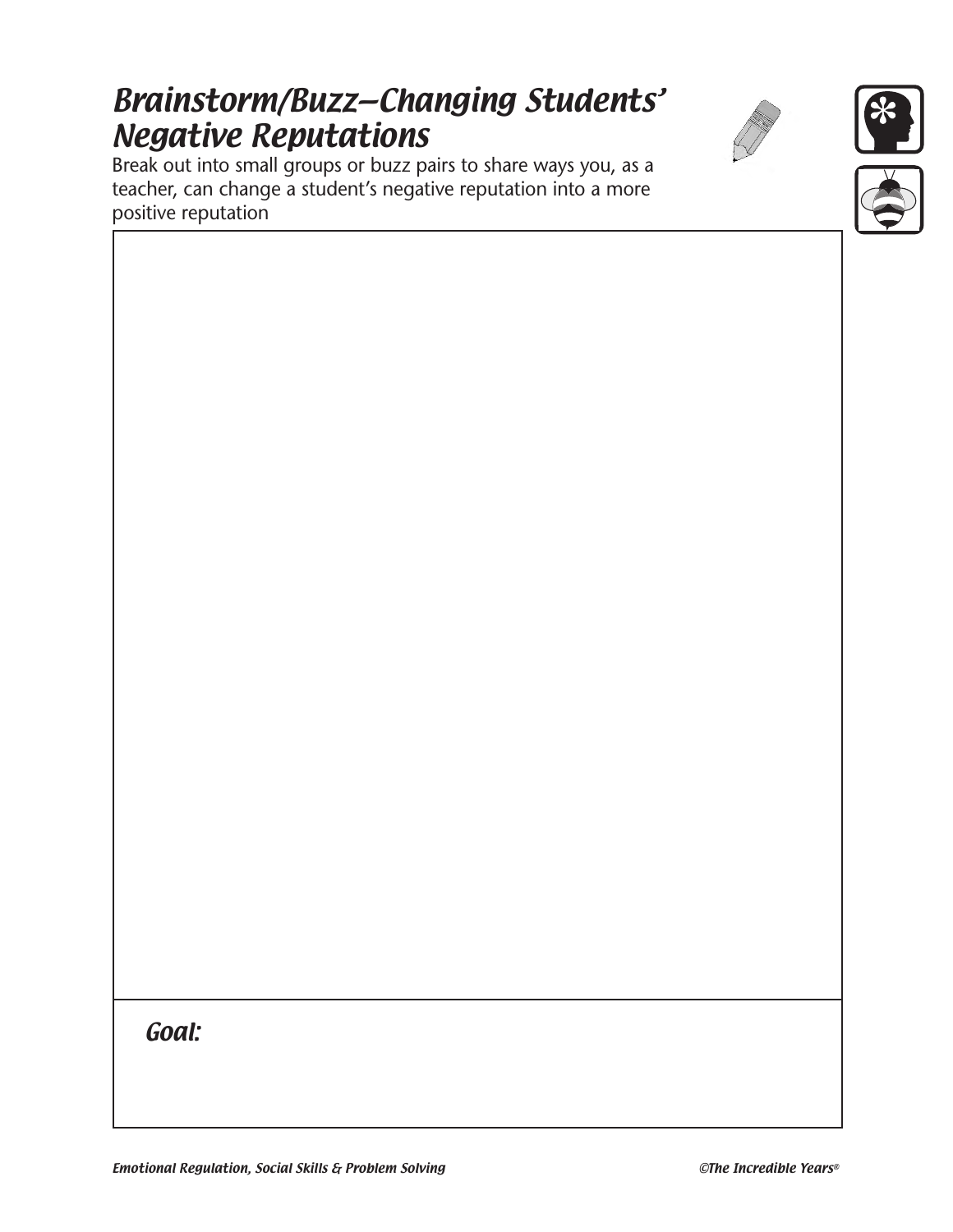#### Brainstorm/Buzz—Changing Students' Negative Reputations

Break out into small groups or buzz pairs to share ways you, as a teacher, can change a student's negative reputation into a more positive reputation





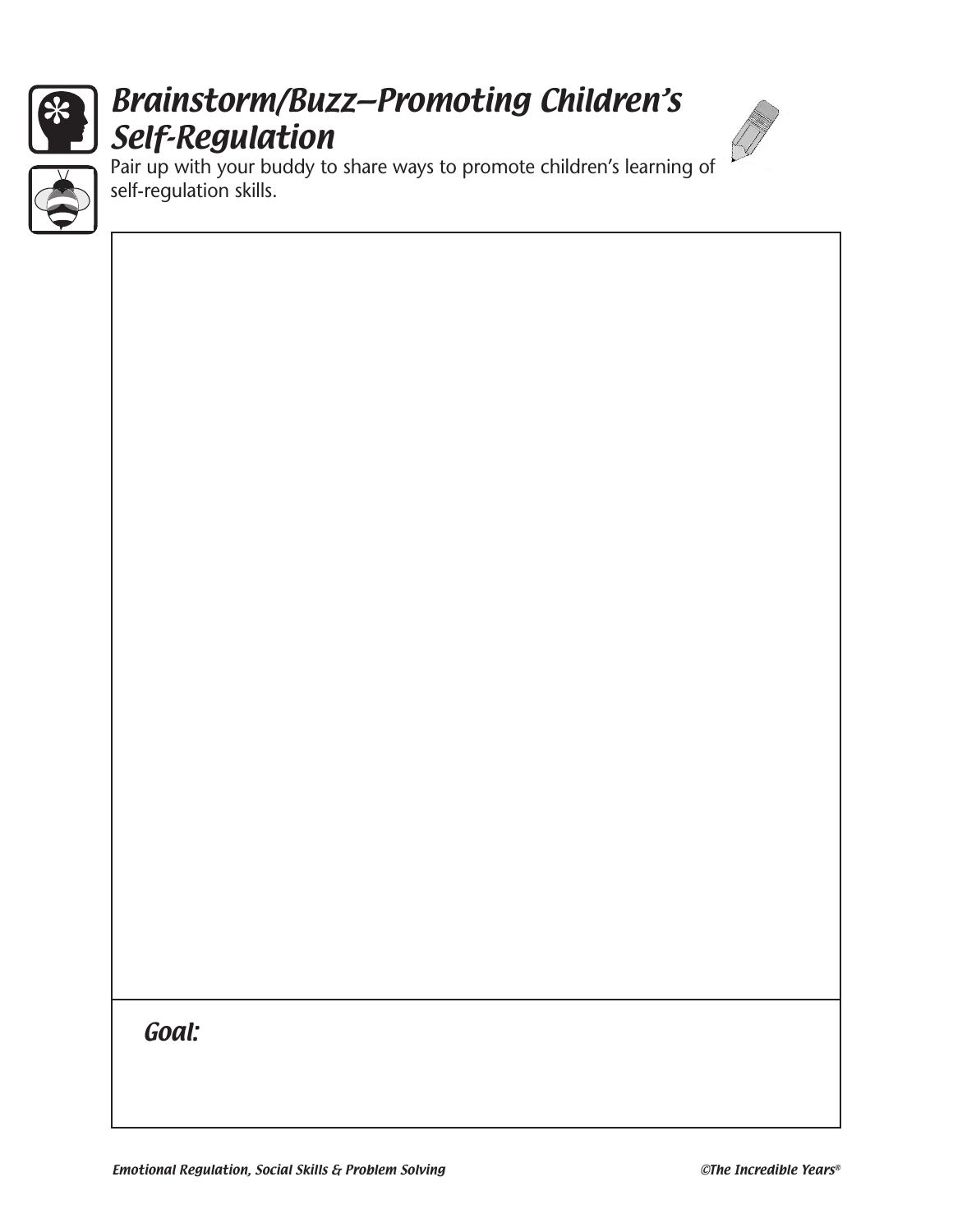

### Brainstorm/Buzz—Promoting Children's Self-Regulation





Pair up with your buddy to share ways to promote children's learning of self-regulation skills.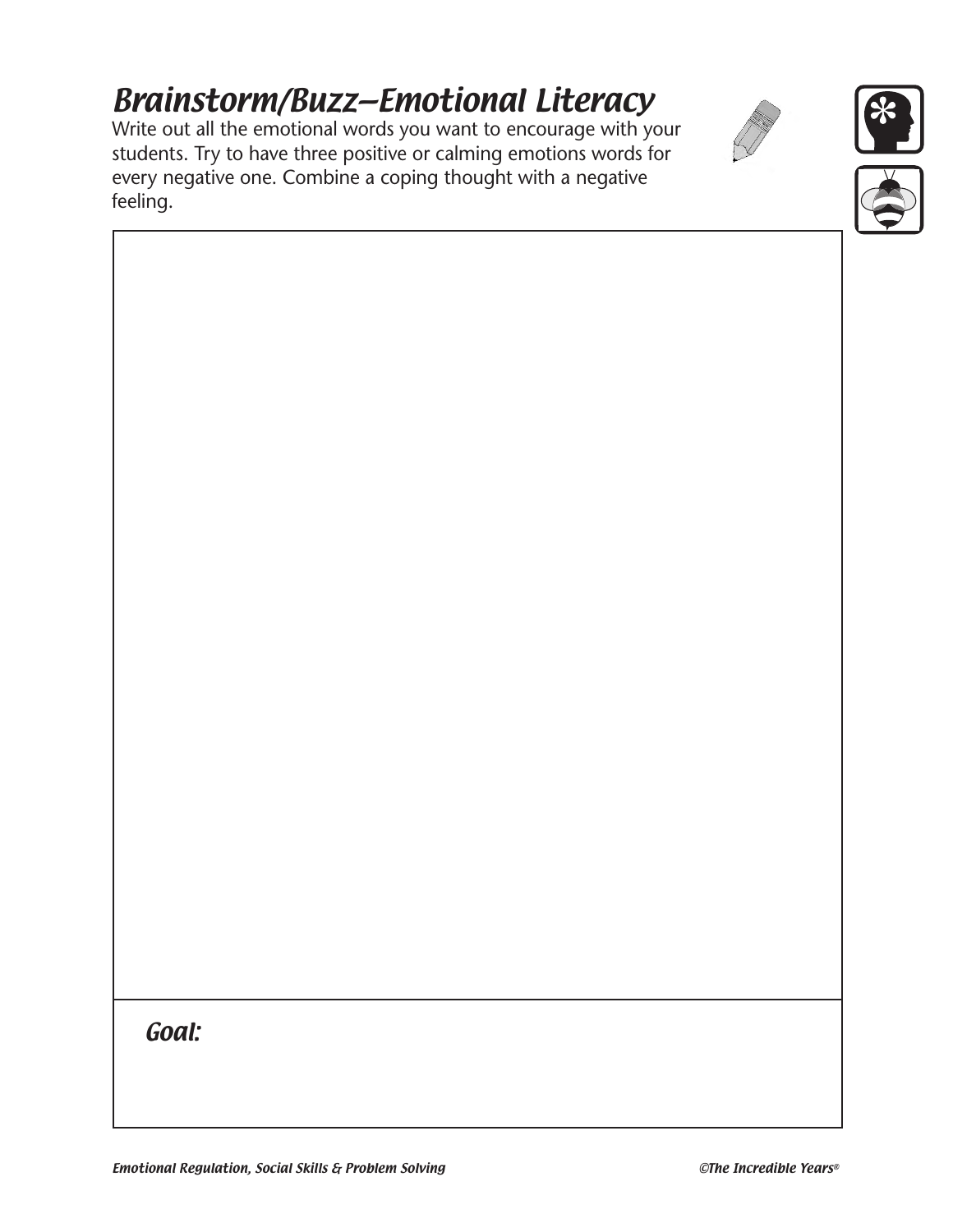### Brainstorm/Buzz—Emotional Literacy

Write out all the emotional words you want to encourage with your students. Try to have three positive or calming emotions words for every negative one. Combine a coping thought with a negative feeling.





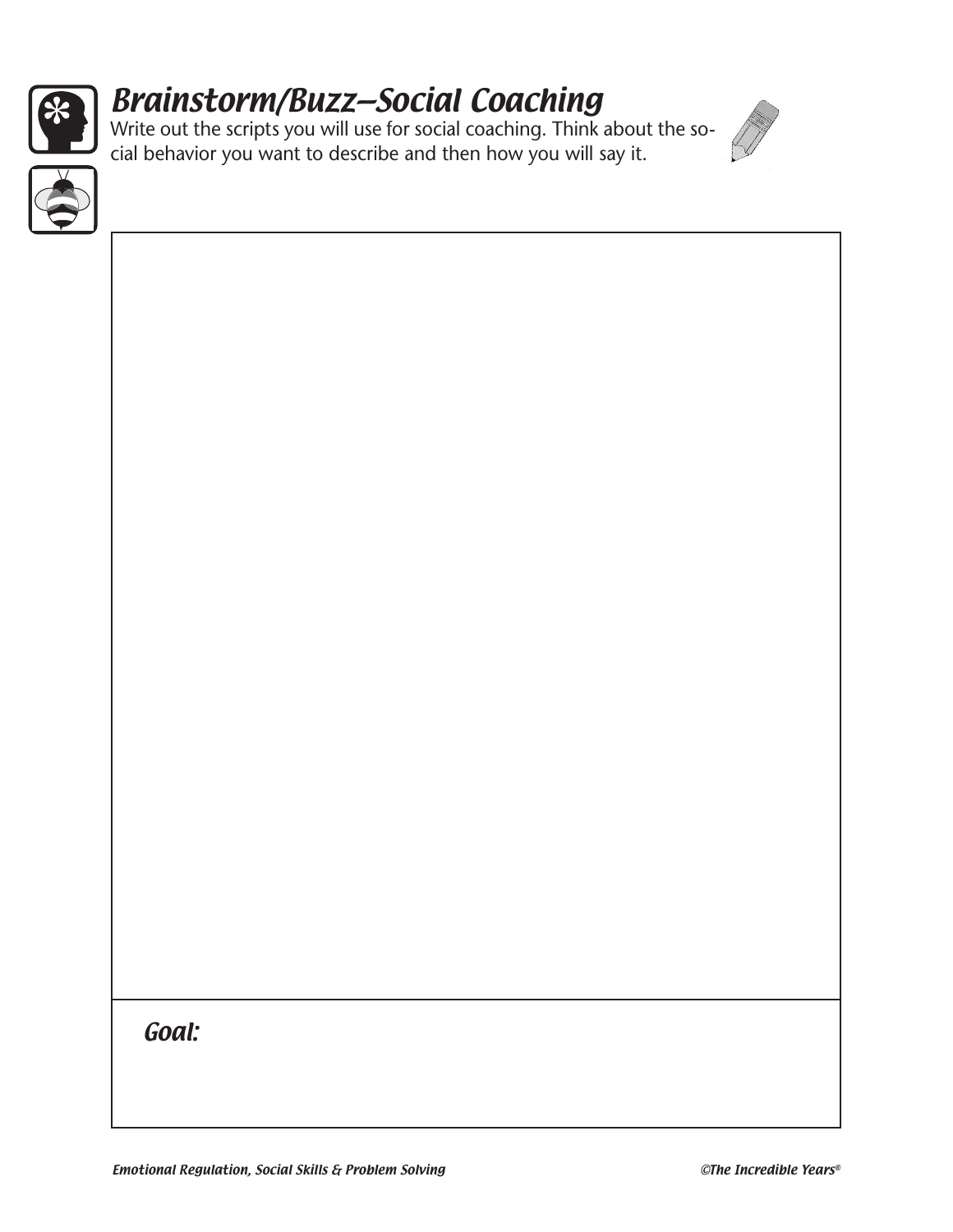

### Brainstorm/Buzz—Social Coaching

Write out the scripts you will use for social coaching. Think about the social behavior you want to describe and then how you will say it.

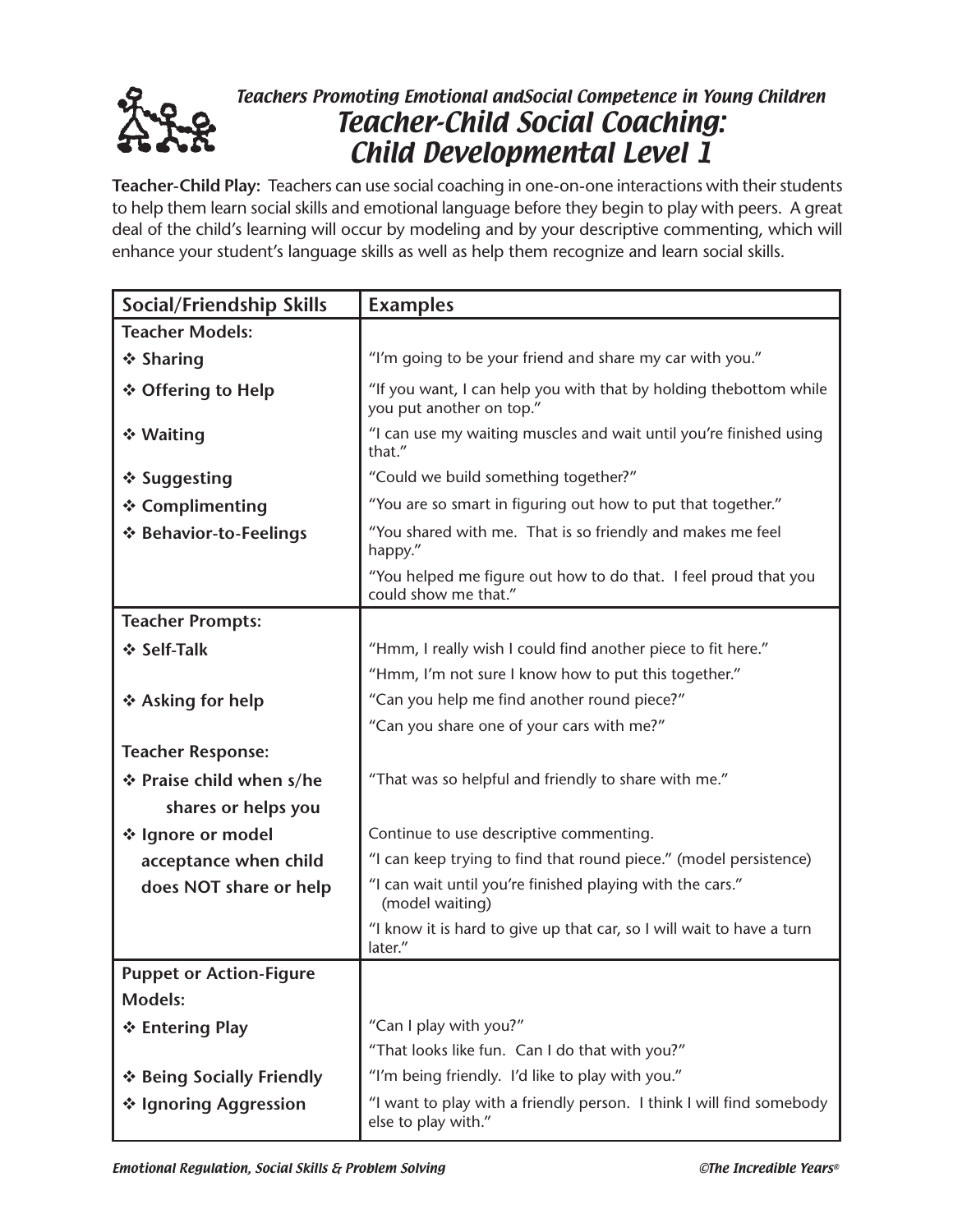

#### Teachers Promoting Emotional andSocial Competence in Young Children Teacher-Child Social Coaching: Child Developmental Level 1

**Teacher-Child Play:** Teachers can use social coaching in one-on-one interactions with their students to help them learn social skills and emotional language before they begin to play with peers. A great deal of the child's learning will occur by modeling and by your descriptive commenting, which will enhance your student's language skills as well as help them recognize and learn social skills.

| Social/Friendship Skills       | <b>Examples</b>                                                                               |
|--------------------------------|-----------------------------------------------------------------------------------------------|
| <b>Teacher Models:</b>         |                                                                                               |
| ❖ Sharing                      | "I'm going to be your friend and share my car with you."                                      |
| ❖ Offering to Help             | "If you want, I can help you with that by holding thebottom while<br>you put another on top." |
| ❖ Waiting                      | "I can use my waiting muscles and wait until you're finished using<br>that."                  |
| ❖ Suggesting                   | "Could we build something together?"                                                          |
| ❖ Complimenting                | "You are so smart in figuring out how to put that together."                                  |
| ❖ Behavior-to-Feelings         | "You shared with me. That is so friendly and makes me feel<br>happy."                         |
|                                | "You helped me figure out how to do that. I feel proud that you<br>could show me that."       |
| <b>Teacher Prompts:</b>        |                                                                                               |
| ❖ Self-Talk                    | "Hmm, I really wish I could find another piece to fit here."                                  |
|                                | "Hmm, I'm not sure I know how to put this together."                                          |
| ❖ Asking for help              | "Can you help me find another round piece?"                                                   |
|                                | "Can you share one of your cars with me?"                                                     |
| <b>Teacher Response:</b>       |                                                                                               |
| ❖ Praise child when s/he       | "That was so helpful and friendly to share with me."                                          |
| shares or helps you            |                                                                                               |
| * Ignore or model              | Continue to use descriptive commenting.                                                       |
| acceptance when child          | "I can keep trying to find that round piece." (model persistence)                             |
| does NOT share or help         | "I can wait until you're finished playing with the cars."<br>(model waiting)                  |
|                                | "I know it is hard to give up that car, so I will wait to have a turn<br>later."              |
| <b>Puppet or Action-Figure</b> |                                                                                               |
| <b>Models:</b>                 |                                                                                               |
| ❖ Entering Play                | "Can I play with you?"                                                                        |
|                                | "That looks like fun. Can I do that with you?"                                                |
| ❖ Being Socially Friendly      | "I'm being friendly. I'd like to play with you."                                              |
| ❖ Ignoring Aggression          | "I want to play with a friendly person. I think I will find somebody<br>else to play with."   |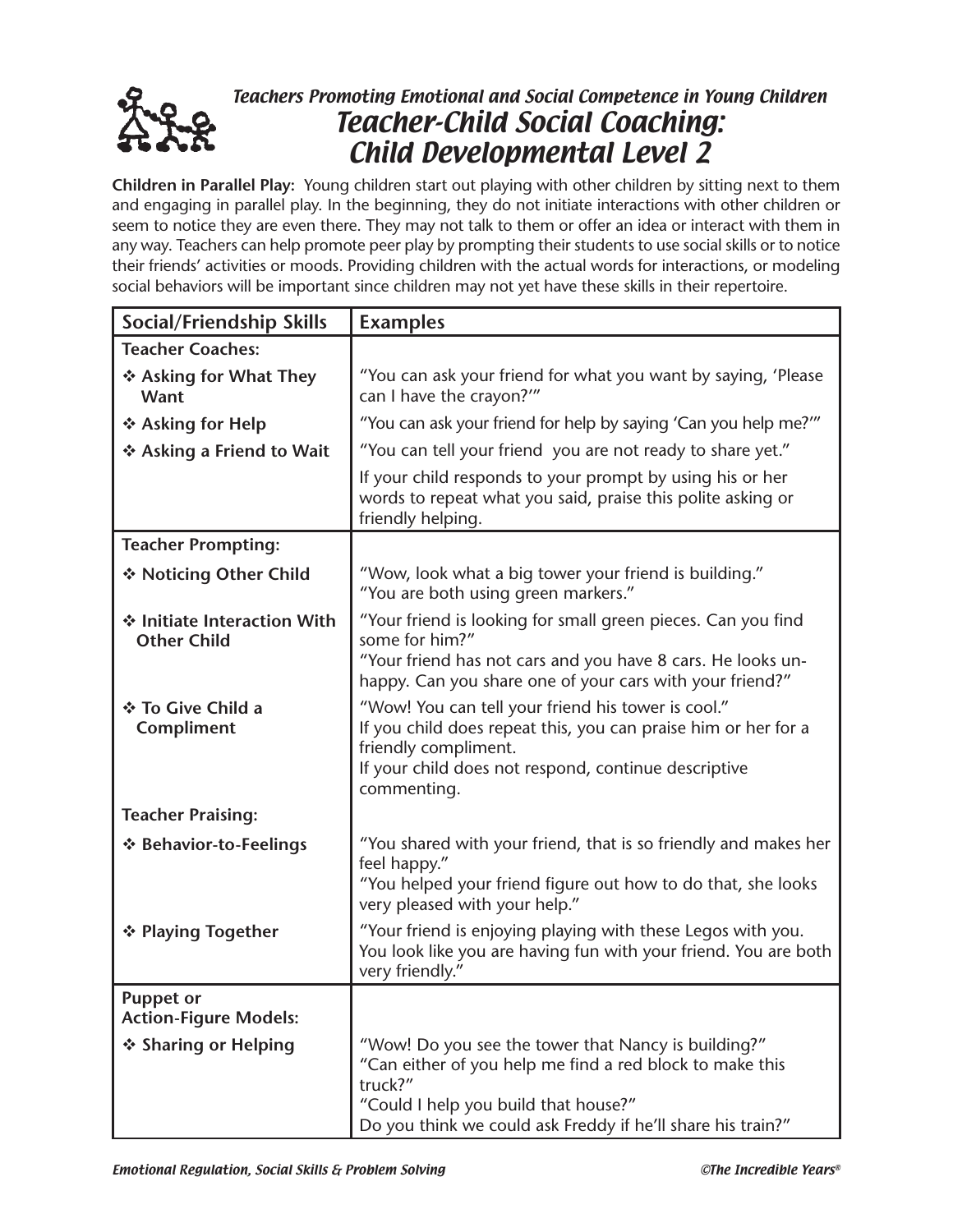

#### Teachers Promoting Emotional and Social Competence in Young Children Teacher-Child Social Coaching: Child Developmental Level 2

**Children in Parallel Play:** Young children start out playing with other children by sitting next to them and engaging in parallel play. In the beginning, they do not initiate interactions with other children or seem to notice they are even there. They may not talk to them or offer an idea or interact with them in any way. Teachers can help promote peer play by prompting their students to use social skills or to notice their friends' activities or moods. Providing children with the actual words for interactions, or modeling social behaviors will be important since children may not yet have these skills in their repertoire.

| Social/Friendship Skills                          | <b>Examples</b>                                                                                                                                                                                                                   |
|---------------------------------------------------|-----------------------------------------------------------------------------------------------------------------------------------------------------------------------------------------------------------------------------------|
| <b>Teacher Coaches:</b>                           |                                                                                                                                                                                                                                   |
| ❖ Asking for What They<br>Want                    | "You can ask your friend for what you want by saying, 'Please<br>can I have the crayon?""                                                                                                                                         |
| ❖ Asking for Help                                 | "You can ask your friend for help by saying 'Can you help me?""                                                                                                                                                                   |
| ❖ Asking a Friend to Wait                         | "You can tell your friend you are not ready to share yet."                                                                                                                                                                        |
|                                                   | If your child responds to your prompt by using his or her<br>words to repeat what you said, praise this polite asking or<br>friendly helping.                                                                                     |
| <b>Teacher Prompting:</b>                         |                                                                                                                                                                                                                                   |
| ❖ Noticing Other Child                            | "Wow, look what a big tower your friend is building."<br>"You are both using green markers."                                                                                                                                      |
| ❖ Initiate Interaction With<br><b>Other Child</b> | "Your friend is looking for small green pieces. Can you find<br>some for him?"<br>"Your friend has not cars and you have 8 cars. He looks un-<br>happy. Can you share one of your cars with your friend?"                         |
| ❖ To Give Child a<br>Compliment                   | "Wow! You can tell your friend his tower is cool."<br>If you child does repeat this, you can praise him or her for a<br>friendly compliment.<br>If your child does not respond, continue descriptive<br>commenting.               |
| <b>Teacher Praising:</b>                          |                                                                                                                                                                                                                                   |
| ❖ Behavior-to-Feelings                            | "You shared with your friend, that is so friendly and makes her<br>feel happy."<br>"You helped your friend figure out how to do that, she looks<br>very pleased with your help."                                                  |
| ❖ Playing Together                                | "Your friend is enjoying playing with these Legos with you.<br>You look like you are having fun with your friend. You are both<br>very friendly."                                                                                 |
| <b>Puppet or</b>                                  |                                                                                                                                                                                                                                   |
| <b>Action-Figure Models:</b>                      |                                                                                                                                                                                                                                   |
| ❖ Sharing or Helping                              | "Wow! Do you see the tower that Nancy is building?"<br>"Can either of you help me find a red block to make this<br>truck?"<br>"Could I help you build that house?"<br>Do you think we could ask Freddy if he'll share his train?" |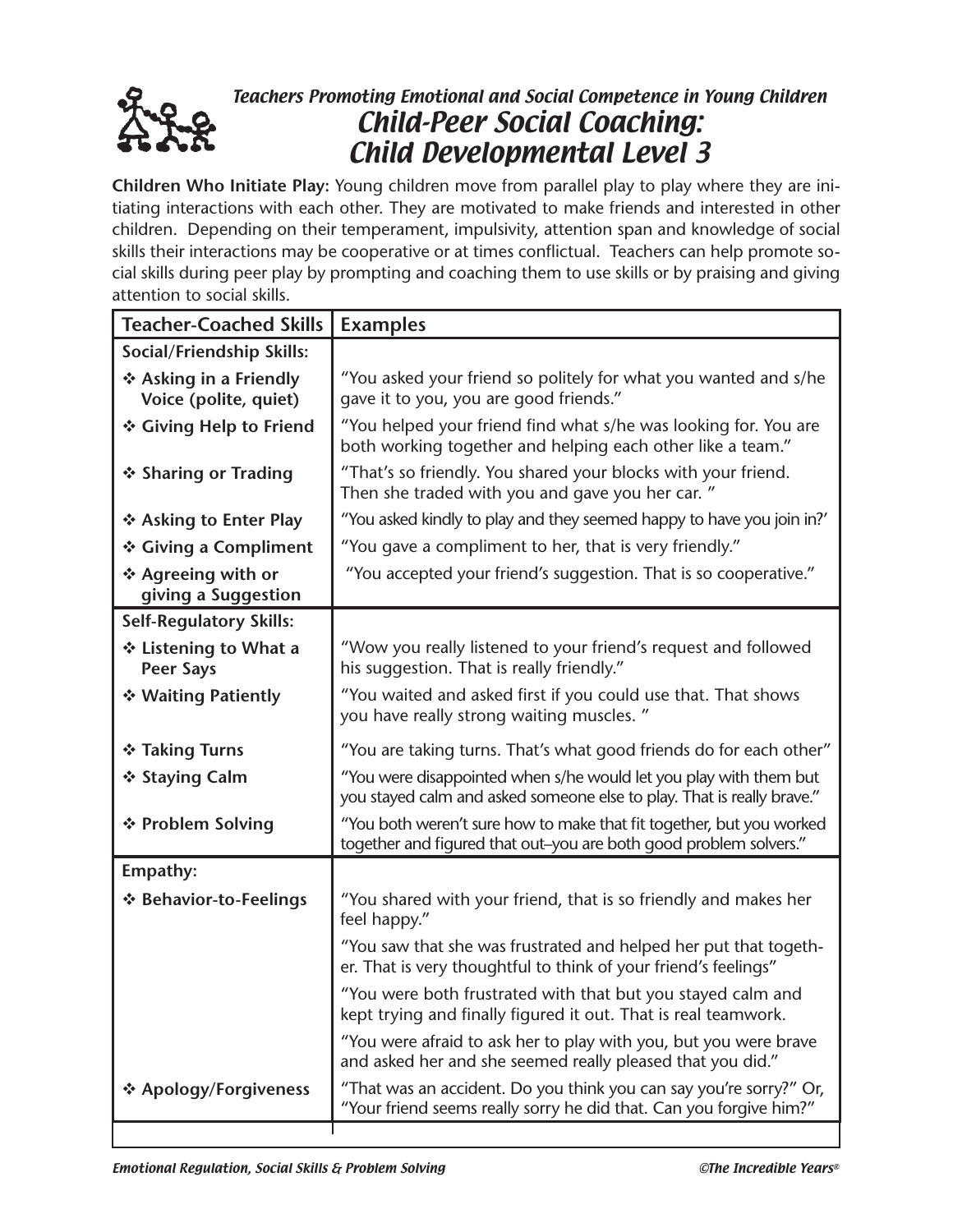

#### Teachers Promoting Emotional and Social Competence in Young Children Child-Peer Social Coaching: Child Developmental Level 3

**Children Who Initiate Play:** Young children move from parallel play to play where they are initiating interactions with each other. They are motivated to make friends and interested in other children. Depending on their temperament, impulsivity, attention span and knowledge of social skills their interactions may be cooperative or at times conflictual. Teachers can help promote social skills during peer play by prompting and coaching them to use skills or by praising and giving attention to social skills.

| <b>Teacher-Coached Skills</b>                   | <b>Examples</b>                                                                                                                             |
|-------------------------------------------------|---------------------------------------------------------------------------------------------------------------------------------------------|
| Social/Friendship Skills:                       |                                                                                                                                             |
| ❖ Asking in a Friendly<br>Voice (polite, quiet) | "You asked your friend so politely for what you wanted and s/he<br>gave it to you, you are good friends."                                   |
| ❖ Giving Help to Friend                         | "You helped your friend find what s/he was looking for. You are<br>both working together and helping each other like a team."               |
| ❖ Sharing or Trading                            | "That's so friendly. You shared your blocks with your friend.<br>Then she traded with you and gave you her car."                            |
| ❖ Asking to Enter Play                          | "You asked kindly to play and they seemed happy to have you join in?"                                                                       |
| ❖ Giving a Compliment                           | "You gave a compliment to her, that is very friendly."                                                                                      |
| ❖ Agreeing with or<br>giving a Suggestion       | "You accepted your friend's suggestion. That is so cooperative."                                                                            |
| <b>Self-Regulatory Skills:</b>                  |                                                                                                                                             |
| ❖ Listening to What a<br><b>Peer Says</b>       | "Wow you really listened to your friend's request and followed<br>his suggestion. That is really friendly."                                 |
| ❖ Waiting Patiently                             | "You waited and asked first if you could use that. That shows<br>you have really strong waiting muscles."                                   |
| ❖ Taking Turns                                  | "You are taking turns. That's what good friends do for each other"                                                                          |
| ❖ Staying Calm                                  | "You were disappointed when s/he would let you play with them but<br>you stayed calm and asked someone else to play. That is really brave." |
| ❖ Problem Solving                               | "You both weren't sure how to make that fit together, but you worked<br>together and figured that out-you are both good problem solvers."   |
| Empathy:                                        |                                                                                                                                             |
| ❖ Behavior-to-Feelings                          | "You shared with your friend, that is so friendly and makes her<br>feel happy."                                                             |
|                                                 | "You saw that she was frustrated and helped her put that togeth-<br>er. That is very thoughtful to think of your friend's feelings"         |
|                                                 | "You were both frustrated with that but you stayed calm and<br>kept trying and finally figured it out. That is real teamwork.               |
|                                                 | "You were afraid to ask her to play with you, but you were brave<br>and asked her and she seemed really pleased that you did."              |
| ❖ Apology/Forgiveness                           | "That was an accident. Do you think you can say you're sorry?" Or,<br>"Your friend seems really sorry he did that. Can you forgive him?"    |
|                                                 |                                                                                                                                             |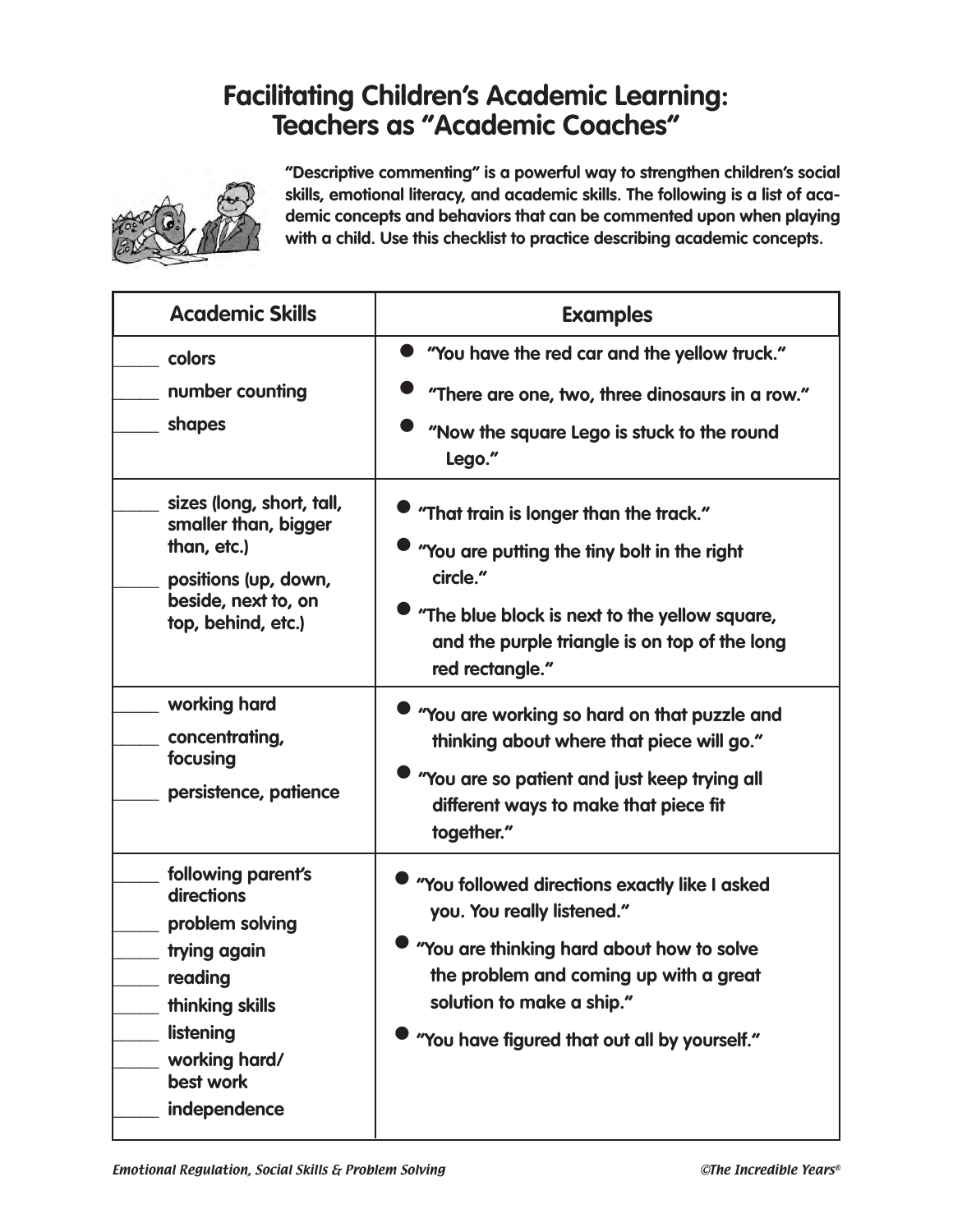#### **Facilitating Children's Academic Learning: Teachers as "Academic Coaches"**



**"Descriptive commenting" is a powerful way to strengthen children's social skills, emotional literacy, and academic skills. The following is a list of academic concepts and behaviors that can be commented upon when playing with a child. Use this checklist to practice describing academic concepts.**

| <b>Academic Skills</b>                                                                                                                                       | <b>Examples</b>                                                                                                                                                                                                                                 |
|--------------------------------------------------------------------------------------------------------------------------------------------------------------|-------------------------------------------------------------------------------------------------------------------------------------------------------------------------------------------------------------------------------------------------|
| colors<br>number counting<br>shapes                                                                                                                          | "You have the red car and the yellow truck."<br>"There are one, two, three dinosaurs in a row."<br>"Now the square Lego is stuck to the round<br>Lego."                                                                                         |
| sizes (long, short, tall,<br>smaller than, bigger<br>than, etc.)<br>positions (up, down,<br>beside, next to, on<br>top, behind, etc.)                        | "That train is longer than the track."<br>"You are putting the tiny bolt in the right<br>circle."<br>"The blue block is next to the yellow square,<br>and the purple triangle is on top of the long<br>red rectangle."                          |
| working hard<br>concentrating,<br>focusing<br>persistence, patience                                                                                          | "You are working so hard on that puzzle and<br>thinking about where that piece will go."<br>"You are so patient and just keep trying all<br>different ways to make that piece fit<br>together."                                                 |
| following parent's<br>directions<br>problem solving<br>trying again<br>reading<br>thinking skills<br>listening<br>working hard/<br>best work<br>independence | "You followed directions exactly like I asked<br>you. You really listened."<br>"You are thinking hard about how to solve<br>the problem and coming up with a great<br>solution to make a ship."<br>"You have figured that out all by yourself." |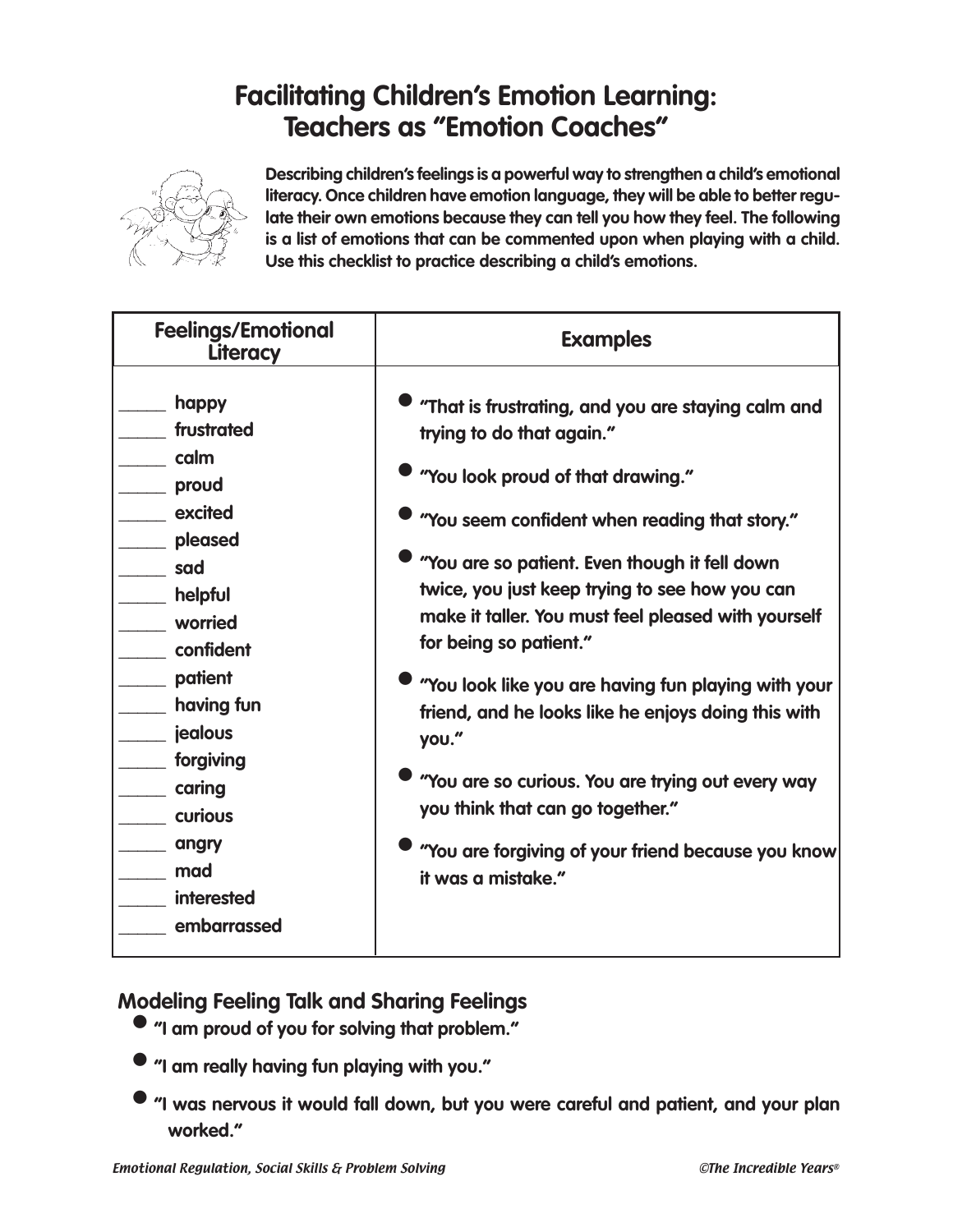#### **Facilitating Children's Emotion Learning: Teachers as "Emotion Coaches"**



**Describing children's feelings is a powerful way to strengthen a child's emotional literacy. Once children have emotion language, they will be able to better regulate their own emotions because they can tell you how they feel. The following is a list of emotions that can be commented upon when playing with a child. Use this checklist to practice describing a child's emotions.**

| <b>Feelings/Emotional</b><br><b>Literacy</b>                                                                                                                                                                            | <b>Examples</b>                                                                                                                                                                                                                                                                                                                                                                                                                                                                                                                                                                                                                                       |
|-------------------------------------------------------------------------------------------------------------------------------------------------------------------------------------------------------------------------|-------------------------------------------------------------------------------------------------------------------------------------------------------------------------------------------------------------------------------------------------------------------------------------------------------------------------------------------------------------------------------------------------------------------------------------------------------------------------------------------------------------------------------------------------------------------------------------------------------------------------------------------------------|
| happy<br>frustrated<br>calm<br>proud<br>excited<br>pleased<br>sad<br>helpful<br>worried<br>confident<br>patient<br>having fun<br>jealous<br>forgiving<br>caring<br>curious<br>angry<br>mad<br>interested<br>embarrassed | "That is frustrating, and you are staying calm and<br>trying to do that again."<br>"You look proud of that drawing."<br>"You seem confident when reading that story."<br>"You are so patient. Even though it fell down<br>twice, you just keep trying to see how you can<br>make it taller. You must feel pleased with yourself<br>for being so patient."<br>"You look like you are having fun playing with your<br>friend, and he looks like he enjoys doing this with<br>you."<br>"You are so curious. You are trying out every way<br>you think that can go together."<br>"You are forgiving of your friend because you know<br>it was a mistake." |

#### **Modeling Feeling Talk and Sharing Feelings**

- **•"I am proud of you for solving that problem."**
- **•"I am really having fun playing with you."**
- **•"I was nervous it would fall down, but you were careful and patient, and your plan worked."**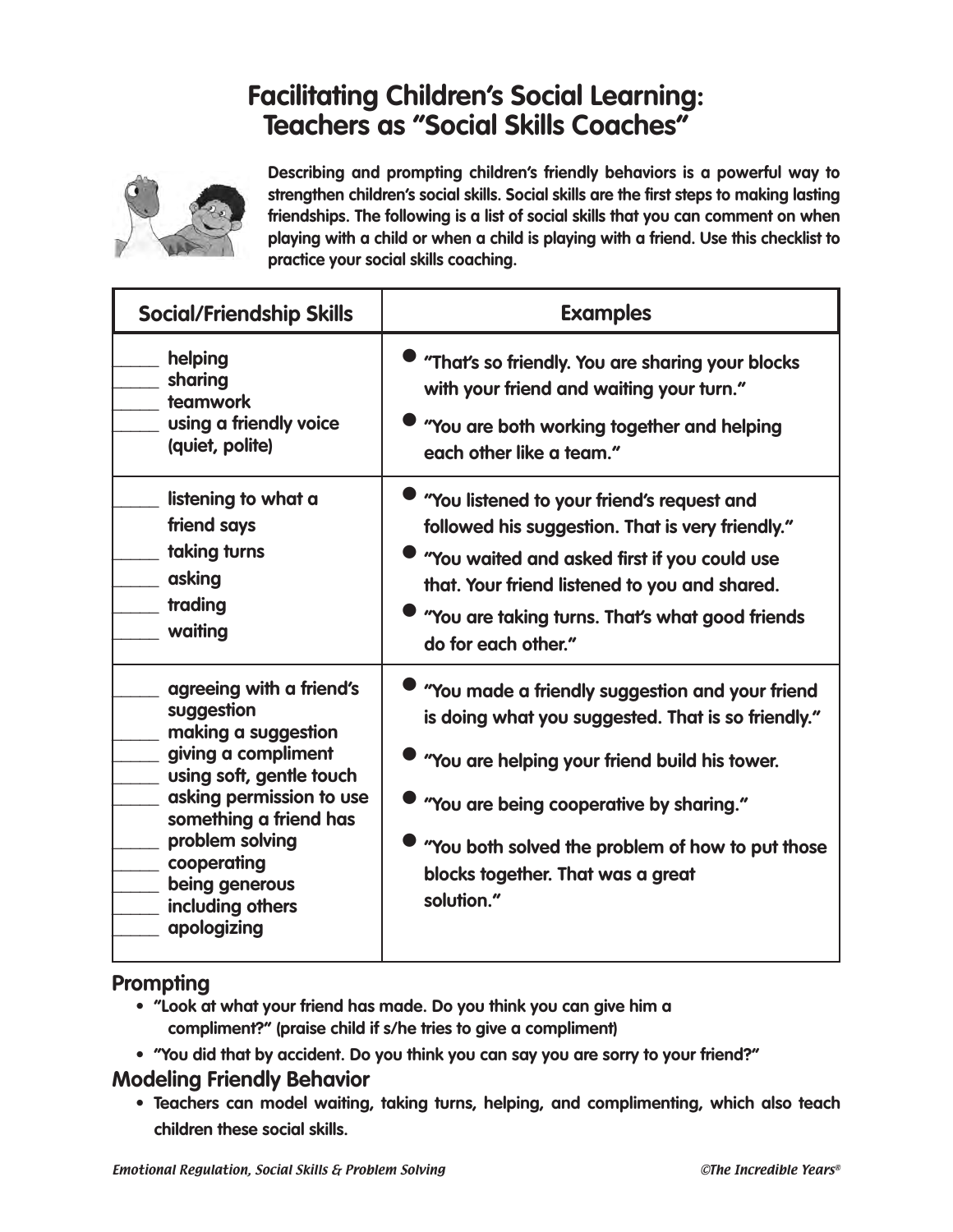#### **Facilitating Children's Social Learning: Teachers as "Social Skills Coaches"**



**Describing and prompting children's friendly behaviors is a powerful way to strengthen children's social skills. Social skills are the first steps to making lasting friendships. The following is a list of social skills that you can comment on when playing with a child or when a child is playing with a friend. Use this checklist to practice your social skills coaching.** 

| <b>Social/Friendship Skills</b>                                                                                                                                                                                                                               | <b>Examples</b>                                                                                                                                                                                                                                                                                          |
|---------------------------------------------------------------------------------------------------------------------------------------------------------------------------------------------------------------------------------------------------------------|----------------------------------------------------------------------------------------------------------------------------------------------------------------------------------------------------------------------------------------------------------------------------------------------------------|
| helping<br>sharing<br>teamwork<br>using a friendly voice<br>(quiet, polite)                                                                                                                                                                                   | "That's so friendly. You are sharing your blocks<br>with your friend and waiting your turn."<br>"You are both working together and helping<br>each other like a team."                                                                                                                                   |
| listening to what a<br>friend says<br>taking turns<br>asking<br>trading<br>waiting                                                                                                                                                                            | "You listened to your friend's request and<br>followed his suggestion. That is very friendly."<br>"You waited and asked first if you could use<br>that. Your friend listened to you and shared.<br>"You are taking turns. That's what good friends<br>do for each other."                                |
| agreeing with a friend's<br>suggestion<br>making a suggestion<br>giving a compliment<br>using soft, gentle touch<br>asking permission to use<br>something a friend has<br>problem solving<br>cooperating<br>being generous<br>including others<br>apologizing | "You made a friendly suggestion and your friend<br>is doing what you suggested. That is so friendly."<br>"You are helping your friend build his tower.<br>"You are being cooperative by sharing."<br>"You both solved the problem of how to put those<br>blocks together. That was a great<br>solution." |

- **Prompting • "Look at what your friend has made. Do you think you can give him a compliment?" (praise child if s/he tries to give a compliment)** 
	- **• "You did that by accident. Do you think you can say you are sorry to your friend?"**

#### **Modeling Friendly Behavior**

**• Teachers can model waiting, taking turns, helping, and complimenting, which also teach children these social skills.**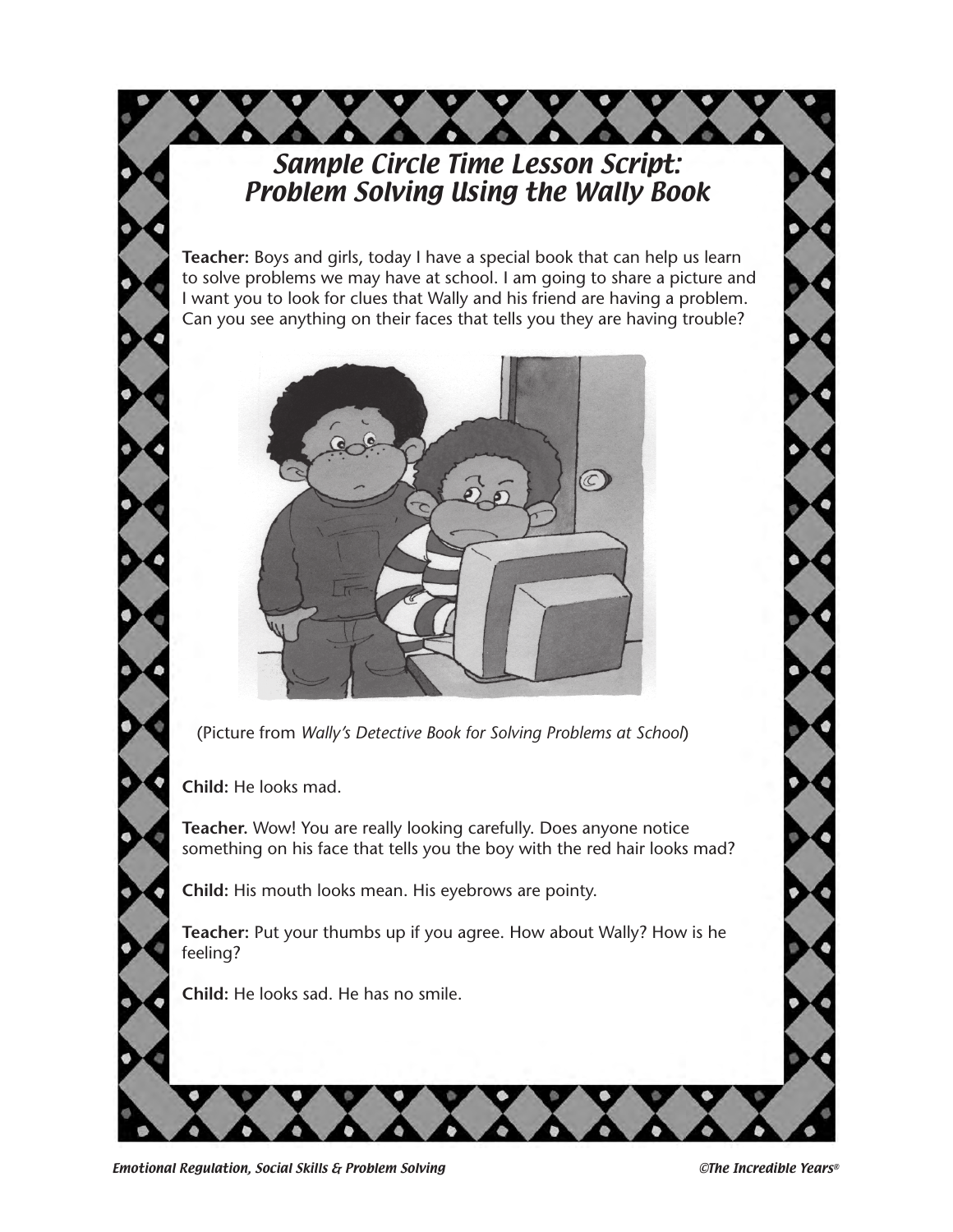#### Sample Circle Time Lesson Script: Problem Solving Using the Wally Book

**Teacher:** Boys and girls, today I have a special book that can help us learn to solve problems we may have at school. I am going to share a picture and I want you to look for clues that Wally and his friend are having a problem. Can you see anything on their faces that tells you they are having trouble?



(Picture from *Wally's Detective Book for Solving Problems at School*)

**Child:** He looks mad.

**Teacher.** Wow! You are really looking carefully. Does anyone notice something on his face that tells you the boy with the red hair looks mad?

**Child:** His mouth looks mean. His eyebrows are pointy.

**Teacher:** Put your thumbs up if you agree. How about Wally? How is he feeling?

**Child:** He looks sad. He has no smile.

Emotional Regulation, Social Skills & Problem Solving ©The Incredible Years®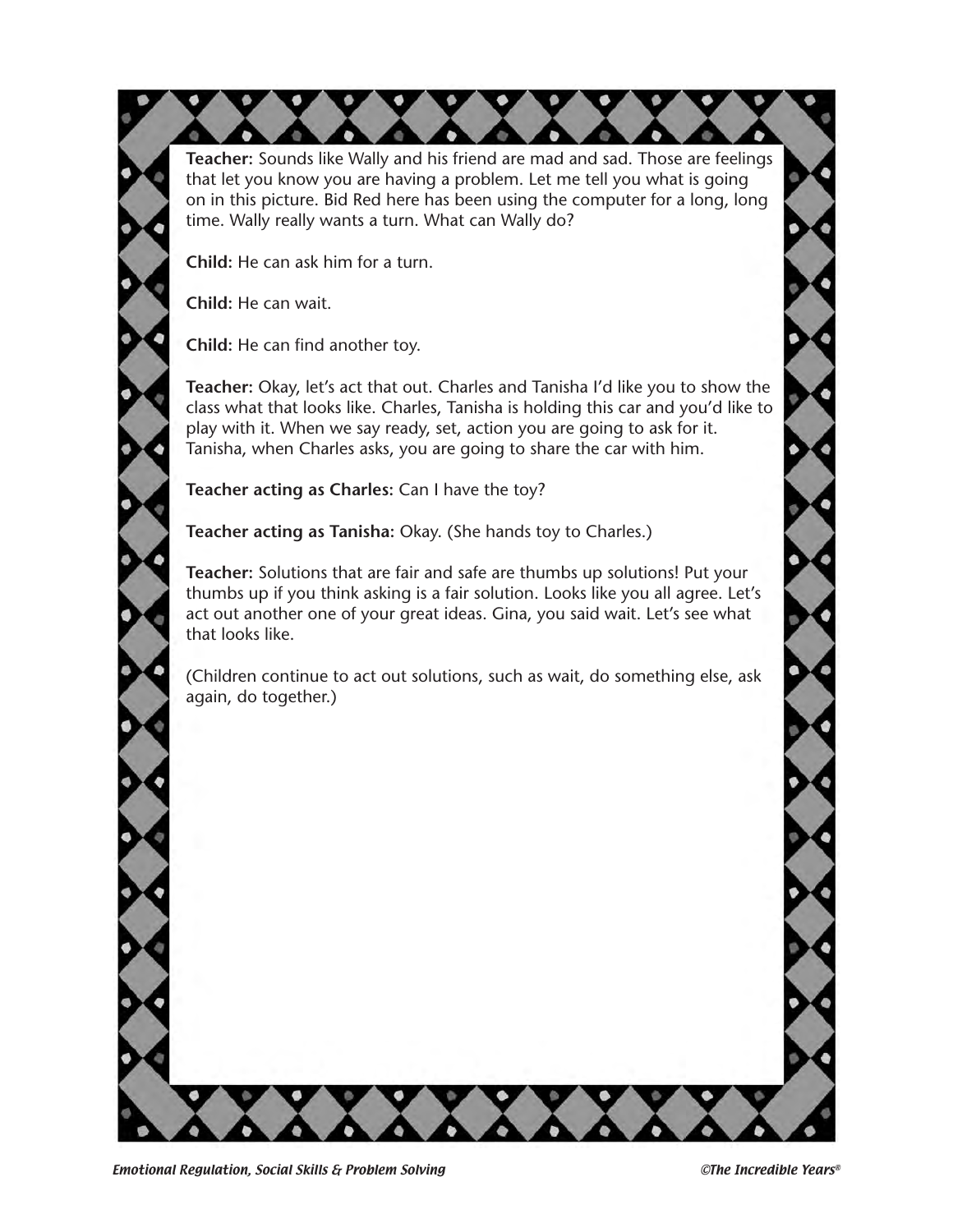**Teacher:** Sounds like Wally and his friend are mad and sad. Those are feelings that let you know you are having a problem. Let me tell you what is going on in this picture. Bid Red here has been using the computer for a long, long time. Wally really wants a turn. What can Wally do?

**Child:** He can ask him for a turn.

**Child:** He can wait.

**Child:** He can find another toy.

**Teacher:** Okay, let's act that out. Charles and Tanisha I'd like you to show the class what that looks like. Charles, Tanisha is holding this car and you'd like to play with it. When we say ready, set, action you are going to ask for it. Tanisha, when Charles asks, you are going to share the car with him.

**Teacher acting as Charles:** Can I have the toy?

**Teacher acting as Tanisha:** Okay. (She hands toy to Charles.)

**Teacher:** Solutions that are fair and safe are thumbs up solutions! Put your thumbs up if you think asking is a fair solution. Looks like you all agree. Let's act out another one of your great ideas. Gina, you said wait. Let's see what that looks like.

(Children continue to act out solutions, such as wait, do something else, ask again, do together.)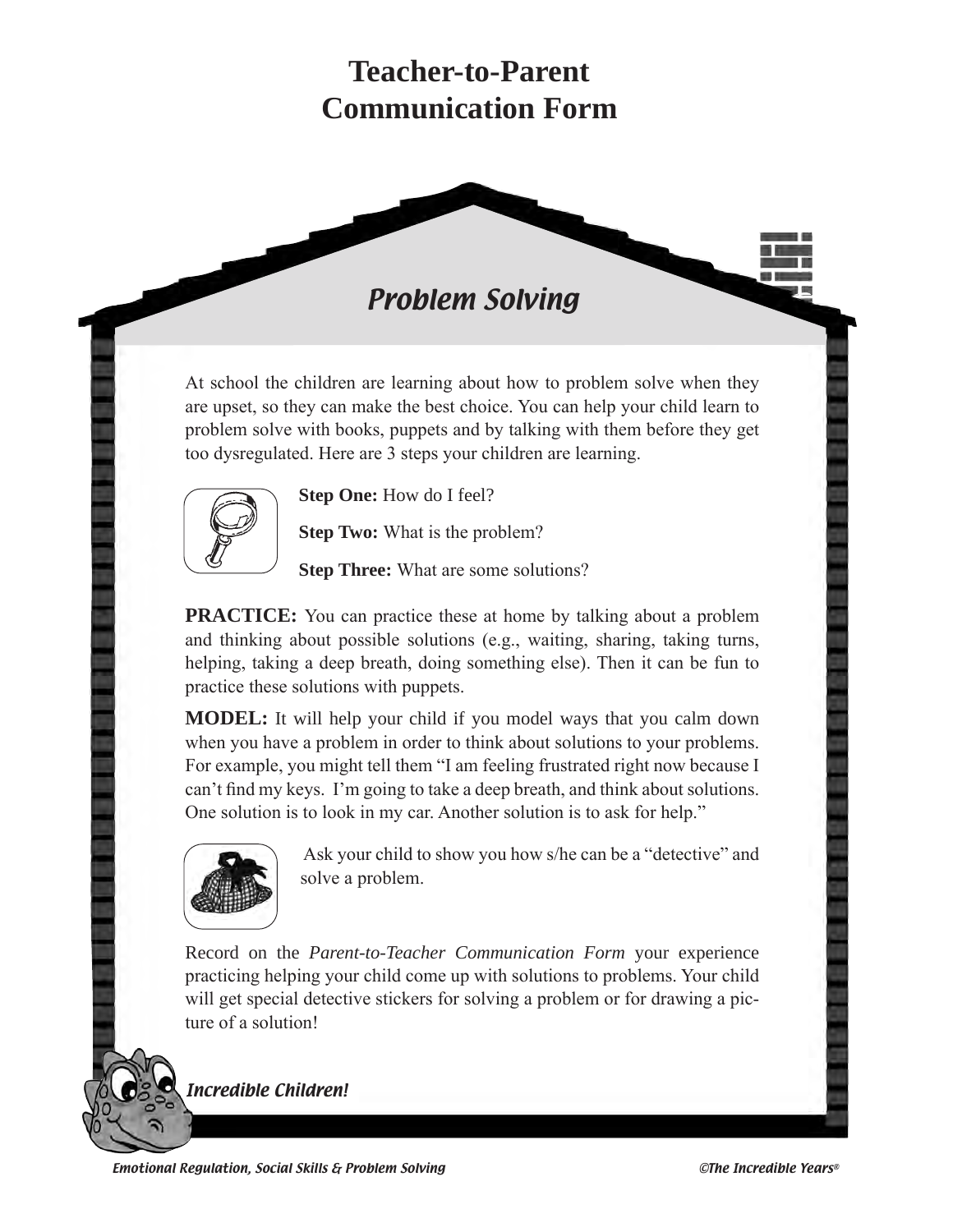#### **Teacher-to-Parent Communication Form**

#### Problem Solving

At school the children are learning about how to problem solve when they are upset, so they can make the best choice. You can help your child learn to problem solve with books, puppets and by talking with them before they get too dysregulated. Here are 3 steps your children are learning.



**Step One:** How do I feel?

**Step Two:** What is the problem?

**Step Three:** What are some solutions?

**PRACTICE:** You can practice these at home by talking about a problem and thinking about possible solutions (e.g., waiting, sharing, taking turns, helping, taking a deep breath, doing something else). Then it can be fun to practice these solutions with puppets.

**MODEL:** It will help your child if you model ways that you calm down when you have a problem in order to think about solutions to your problems. For example, you might tell them "I am feeling frustrated right now because I can't find my keys. I'm going to take a deep breath, and think about solutions. One solution is to look in my car. Another solution is to ask for help."



 Ask your child to show you how s/he can be a "detective" and solve a problem.

Record on the *Parent-to-Teacher Communication Form* your experience practicing helping your child come up with solutions to problems. Your child will get special detective stickers for solving a problem or for drawing a picture of a solution!

Incredible Children!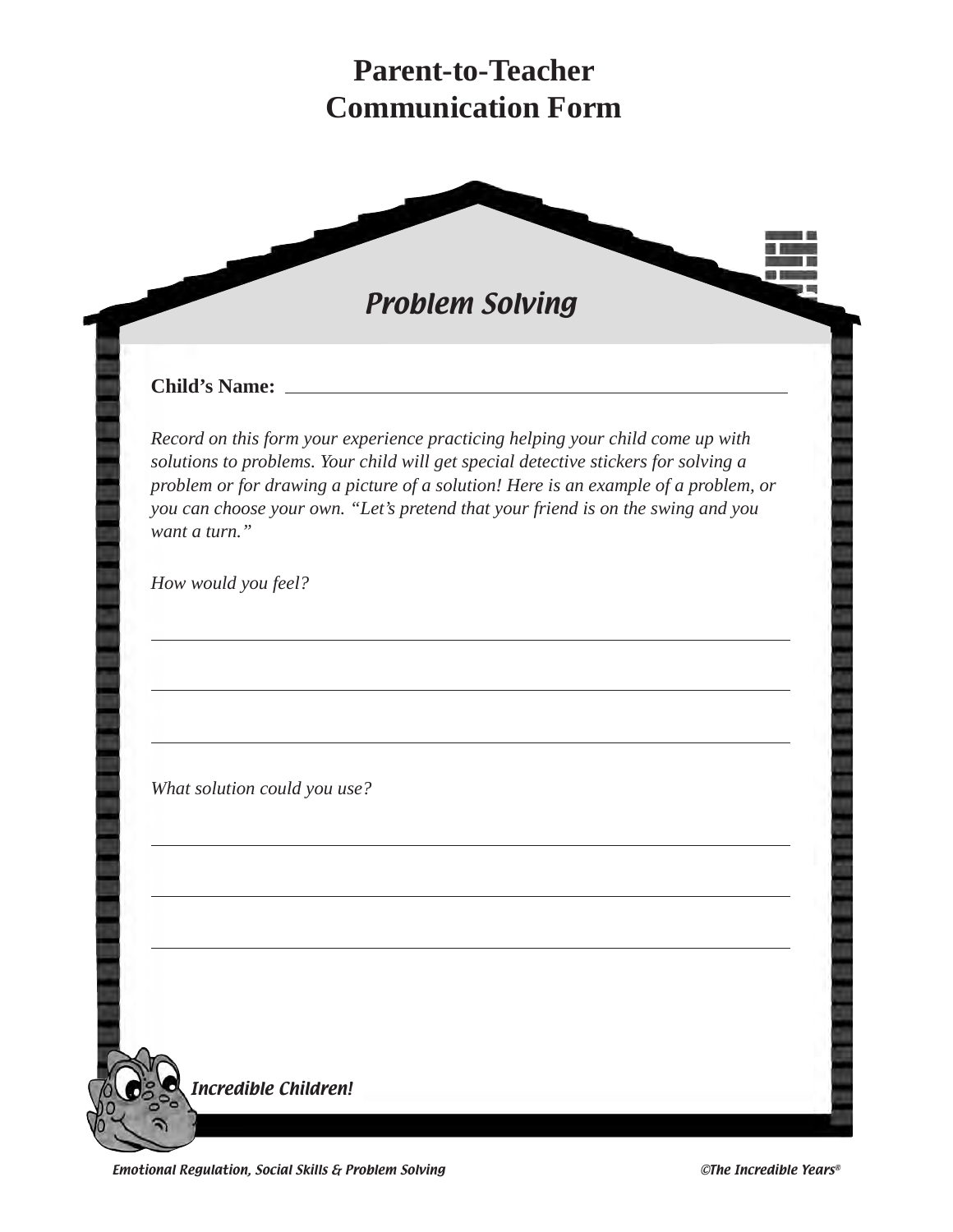#### **Parent-to-Teacher Communication Form**



#### **Child's Name:**

*Record on this form your experience practicing helping your child come up with solutions to problems. Your child will get special detective stickers for solving a problem or for drawing a picture of a solution! Here is an example of a problem, or you can choose your own. "Let's pretend that your friend is on the swing and you want a turn."* 

*How would you feel?* 

*What solution could you use?*

Incredible Children!

Emotional Regulation, Social Skills & Problem Solving ©The Incredible Years®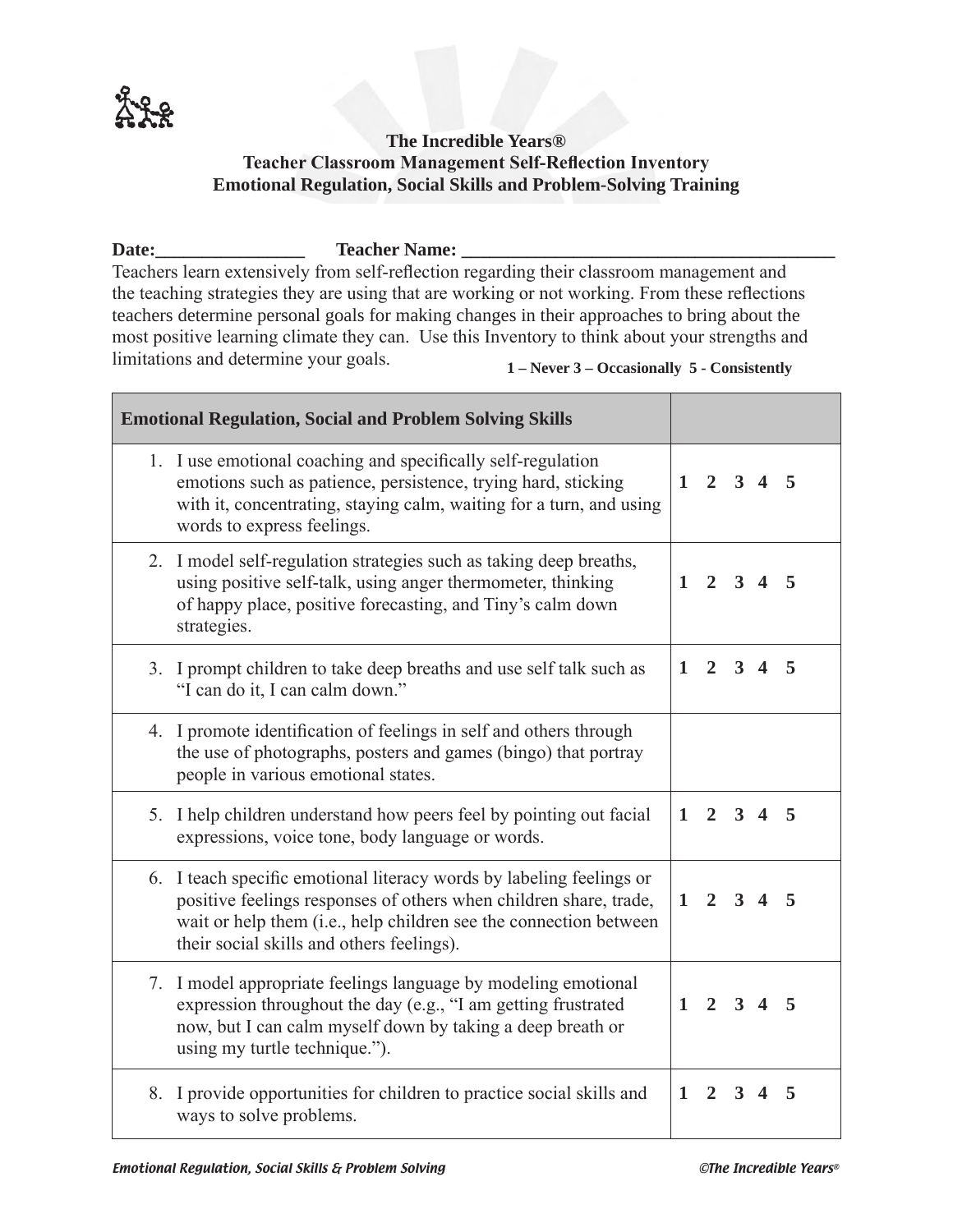

#### **The Incredible Years® Teacher Classroom Management Self-Reflection Inventory Emotional Regulation, Social Skills and Problem-Solving Training**

#### **Date: Teacher Name: Properties**

Teachers learn extensively from self-reflection regarding their classroom management and the teaching strategies they are using that are working or not working. From these reflections teachers determine personal goals for making changes in their approaches to bring about the most positive learning climate they can. Use this Inventory to think about your strengths and limitations and determine your goals. **1 – Never 3 – Occasionally 5 - Consistently**

| <b>Emotional Regulation, Social and Problem Solving Skills</b>                                                                                                                                                                                              |              |                     |                     |                     |   |
|-------------------------------------------------------------------------------------------------------------------------------------------------------------------------------------------------------------------------------------------------------------|--------------|---------------------|---------------------|---------------------|---|
| 1. I use emotional coaching and specifically self-regulation<br>emotions such as patience, persistence, trying hard, sticking<br>with it, concentrating, staying calm, waiting for a turn, and using<br>words to express feelings.                          |              | $1 \t2 \t3 \t4 \t5$ |                     |                     |   |
| 2. I model self-regulation strategies such as taking deep breaths,<br>using positive self-talk, using anger thermometer, thinking<br>of happy place, positive forecasting, and Tiny's calm down<br>strategies.                                              |              | $1 \t2 \t3 \t4$     |                     |                     | 5 |
| 3. I prompt children to take deep breaths and use self talk such as<br>"I can do it, I can calm down."                                                                                                                                                      |              | $2^{\circ}$         |                     | 3 4 5               |   |
| 4. I promote identification of feelings in self and others through<br>the use of photographs, posters and games (bingo) that portray<br>people in various emotional states.                                                                                 |              |                     |                     |                     |   |
| 5. I help children understand how peers feel by pointing out facial<br>expressions, voice tone, body language or words.                                                                                                                                     | $\mathbf{1}$ | $2^{\circ}$         |                     | $3 \quad 4 \quad 5$ |   |
| 6. I teach specific emotional literacy words by labeling feelings or<br>positive feelings responses of others when children share, trade,<br>wait or help them (i.e., help children see the connection between<br>their social skills and others feelings). |              |                     | $2 \quad 3 \quad 4$ |                     | 5 |
| 7. I model appropriate feelings language by modeling emotional<br>expression throughout the day (e.g., "I am getting frustrated<br>now, but I can calm myself down by taking a deep breath or<br>using my turtle technique.").                              |              | $1 \t2 \t3 \t4 \t5$ |                     |                     |   |
| 8. I provide opportunities for children to practice social skills and<br>ways to solve problems.                                                                                                                                                            | $\mathbf{1}$ | $\overline{2}$      | $3\quad 4$          |                     | 5 |